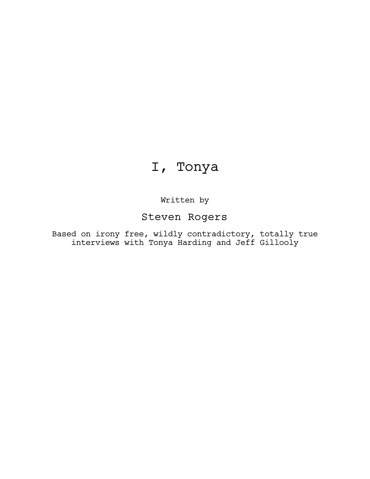# I, Tonya

Written by

Steven Rogers

Based on irony free, wildly contradictory, totally true interviews with Tonya Harding and Jeff Gillooly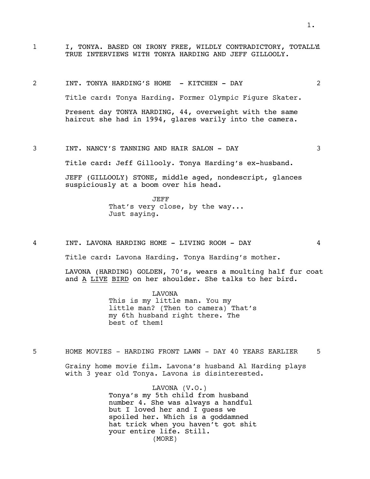- 1 I, TONYA. BASED ON IRONY FREE, WILDLY CONTRADICTORY, TOTALLY TRUE INTERVIEWS WITH TONYA HARDING AND JEFF GILLOOLY.
- 2 INT. TONYA HARDING'S HOME KITCHEN DAY 2 Title card: Tonya Harding. Former Olympic Figure Skater. Present day TONYA HARDING, 44, overweight with the same haircut she had in 1994, glares warily into the camera.
- 3 INT. NANCY'S TANNING AND HAIR SALON DAY 3 Title card: Jeff Gillooly. Tonya Harding's ex-husband.

JEFF (GILLOOLY) STONE, middle aged, nondescript, glances suspiciously at a boom over his head.

> JEFF That's very close, by the way... Just saying.

4 INT. LAVONA HARDING HOME - LIVING ROOM - DAY 4

Title card: Lavona Harding. Tonya Harding's mother.

LAVONA (HARDING) GOLDEN, 70's, wears a moulting half fur coat and A LIVE BIRD on her shoulder. She talks to her bird.

> LAVONA This is my little man. You my little man? (Then to camera) That's my 6th husband right there. The best of them!

5 HOME MOVIES - HARDING FRONT LAWN - DAY 40 YEARS EARLIER 5

Grainy home movie film. Lavona's husband Al Harding plays with 3 year old Tonya. Lavona is disinterested.

> LAVONA (V.O.) Tonya's my 5th child from husband number 4. She was always a handful but I loved her and I guess we spoiled her. Which is a goddamned hat trick when you haven't got shit your entire life. Still. (MORE)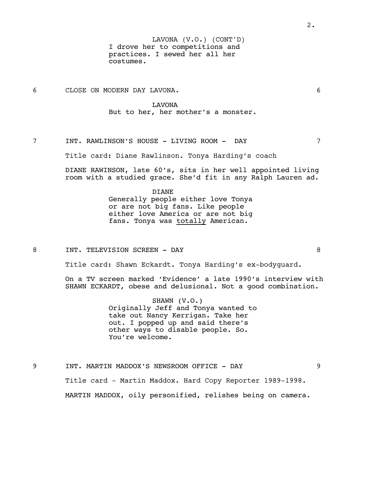I drove her to competitions and practices. I sewed her all her costumes. LAVONA (V.O.) (CONT'D)

6 CLOSE ON MODERN DAY LAVONA. 6

#### LAVONA

But to her, her mother's a monster.

7 INT. RAWLINSON'S HOUSE - LIVING ROOM - DAY 7

Title card: Diane Rawlinson. Tonya Harding's coach

DIANE RAWINSON, late 60's, sits in her well appointed living room with a studied grace. She'd fit in any Ralph Lauren ad.

> DIANE Generally people either love Tonya or are not big fans. Like people either love America or are not big fans. Tonya was totally American.

8 INT. TELEVISION SCREEN - DAY 8

Title card: Shawn Eckardt. Tonya Harding's ex-bodyguard.

On a TV screen marked 'Evidence' a late 1990's interview with SHAWN ECKARDT, obese and delusional. Not a good combination.

> SHAWN (V.O.) Originally Jeff and Tonya wanted to take out Nancy Kerrigan. Take her out. I popped up and said there's other ways to disable people. So. You're welcome.

9 INT. MARTIN MADDOX'S NEWSROOM OFFICE - DAY 9 Title card - Martin Maddox. Hard Copy Reporter 1989-1998. MARTIN MADDOX, oily personified, relishes being on camera.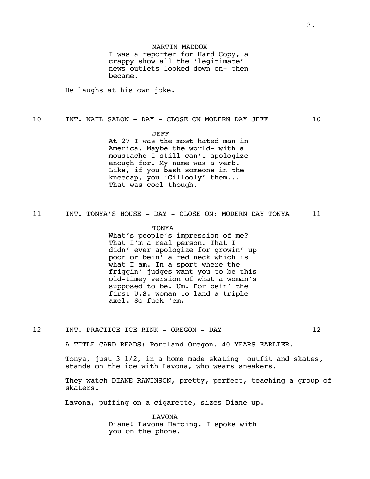I was a reporter for Hard Copy, a crappy show all the 'legitimate' news outlets looked down on- then became.

He laughs at his own joke.

# 10 INT. NAIL SALON - DAY - CLOSE ON MODERN DAY JEFF 10

JEFF

At 27 I was the most hated man in America. Maybe the world- with a moustache I still can't apologize enough for. My name was a verb. Like, if you bash someone in the kneecap, you 'Gillooly' them... That was cool though.

11 INT. TONYA'S HOUSE - DAY - CLOSE ON: MODERN DAY TONYA 11

#### TONYA

What's people's impression of me? That I'm a real person. That I didn' ever apologize for growin' up poor or bein' a red neck which is what I am. In a sport where the friggin' judges want you to be this old-timey version of what a woman's supposed to be. Um. For bein' the first U.S. woman to land a triple axel. So fuck 'em.

12 INT. PRACTICE ICE RINK - OREGON - DAY 12

A TITLE CARD READS: Portland Oregon. 40 YEARS EARLIER.

Tonya, just 3 1/2, in a home made skating outfit and skates, stands on the ice with Lavona, who wears sneakers.

They watch DIANE RAWINSON, pretty, perfect, teaching a group of skaters.

Lavona, puffing on a cigarette, sizes Diane up.

LAVONA Diane! Lavona Harding. I spoke with you on the phone.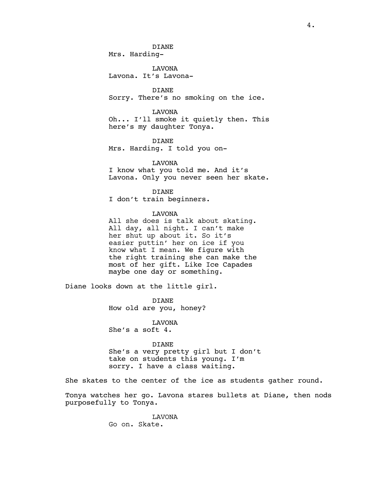# DIANE

Mrs. Harding-

LAVONA Lavona. It's Lavona-

DIANE Sorry. There's no smoking on the ice.

LAVONA Oh... I'll smoke it quietly then. This here's my daughter Tonya.

DIANE Mrs. Harding. I told you on-

LAVONA

I know what you told me. And it's Lavona. Only you never seen her skate.

DIANE I don't train beginners.

#### LAVONA

All she does is talk about skating. All day, all night. I can't make her shut up about it. So it's easier puttin' her on ice if you know what I mean. We figure with the right training she can make the most of her gift. Like Ice Capades maybe one day or something.

Diane looks down at the little girl.

DIANE How old are you, honey?

LAVONA She's a soft 4.

#### DIANE

She's a very pretty girl but I don't take on students this young. I'm sorry. I have a class waiting.

She skates to the center of the ice as students gather round.

Tonya watches her go. Lavona stares bullets at Diane, then nods purposefully to Tonya.

> LAVONA Go on. Skate.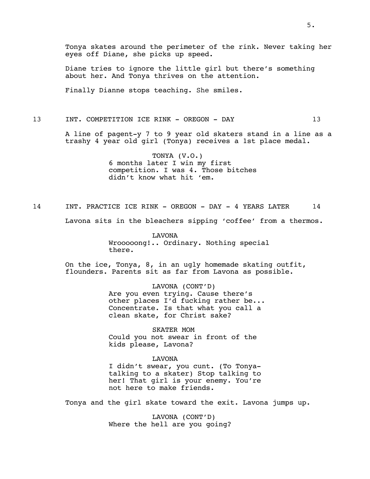Tonya skates around the perimeter of the rink. Never taking her eyes off Diane, she picks up speed.

Diane tries to ignore the little girl but there's something about her. And Tonya thrives on the attention.

Finally Dianne stops teaching. She smiles.

# 13 INT. COMPETITION ICE RINK - OREGON - DAY 13

A line of pagent-y 7 to 9 year old skaters stand in a line as a trashy 4 year old girl (Tonya) receives a 1st place medal.

> TONYA (V.O.) 6 months later I win my first competition. I was 4. Those bitches didn't know what hit 'em.

14 INT. PRACTICE ICE RINK - OREGON - DAY - 4 YEARS LATER 14

Lavona sits in the bleachers sipping 'coffee' from a thermos.

LAVONA Wrooooong!.. Ordinary. Nothing special there.

On the ice, Tonya, 8, in an ugly homemade skating outfit, flounders. Parents sit as far from Lavona as possible.

> LAVONA (CONT'D) Are you even trying. Cause there's other places I'd fucking rather be... Concentrate. Is that what you call a clean skate, for Christ sake?

SKATER MOM Could you not swear in front of the kids please, Lavona?

#### LAVONA

I didn't swear, you cunt. (To Tonyatalking to a skater) Stop talking to her! That girl is your enemy. You're not here to make friends.

Tonya and the girl skate toward the exit. Lavona jumps up.

LAVONA (CONT'D) Where the hell are you going?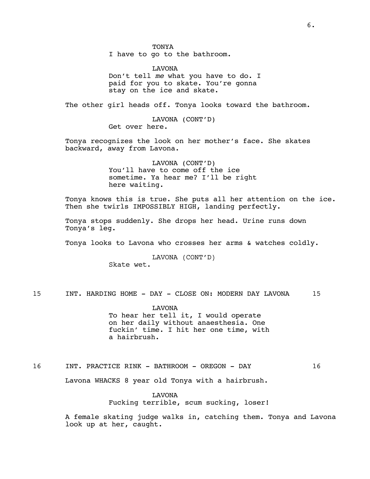I have to go to the bathroom.

LAVONA Don't tell *me* what you have to do. I paid for you to skate. You're gonna stay on the ice and skate.

The other girl heads off. Tonya looks toward the bathroom.

LAVONA (CONT'D) Get over here.

Tonya recognizes the look on her mother's face. She skates backward, away from Lavona.

> LAVONA (CONT'D) You'll have to come off the ice sometime. Ya hear me? I'll be right here waiting.

Tonya knows this is true. She puts all her attention on the ice. Then she twirls IMPOSSIBLY HIGH, landing perfectly.

Tonya stops suddenly. She drops her head. Urine runs down Tonya's leg.

Tonya looks to Lavona who crosses her arms & watches coldly.

LAVONA (CONT'D) Skate wet.

15 INT. HARDING HOME - DAY - CLOSE ON: MODERN DAY LAVONA 15

LAVONA To hear her tell it, I would operate on her daily without anaesthesia. One fuckin' time. I hit her one time, with a hairbrush.

16 INT. PRACTICE RINK - BATHROOM - OREGON - DAY 16

Lavona WHACKS 8 year old Tonya with a hairbrush.

LAVONA Fucking terrible, scum sucking, loser!

A female skating judge walks in, catching them. Tonya and Lavona look up at her, caught.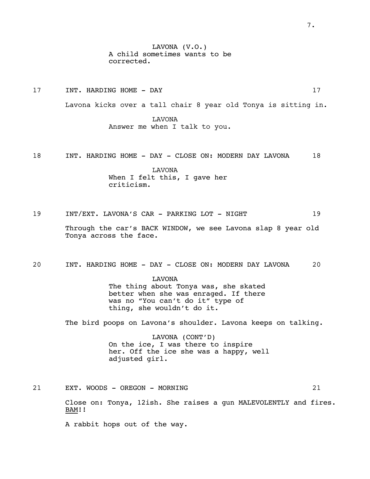LAVONA (V.O.) A child sometimes wants to be corrected.

17 INT. HARDING HOME - DAY 17

Lavona kicks over a tall chair 8 year old Tonya is sitting in.

LAVONA Answer me when I talk to you.

18 INT. HARDING HOME - DAY - CLOSE ON: MODERN DAY LAVONA 18

LAVONA When I felt this, I gave her criticism.

19 INT/EXT. LAVONA'S CAR - PARKING LOT - NIGHT 19

Through the car's BACK WINDOW, we see Lavona slap 8 year old Tonya across the face.

20 INT. HARDING HOME - DAY - CLOSE ON: MODERN DAY LAVONA 20

LAVONA

The thing about Tonya was, she skated better when she was enraged. If there was no "You can't do it" type of thing, she wouldn't do it.

The bird poops on Lavona's shoulder. Lavona keeps on talking.

LAVONA (CONT'D) On the ice, I was there to inspire her. Off the ice she was a happy, well adjusted girl.

21 EXT. WOODS - OREGON - MORNING 21

Close on: Tonya, 12ish. She raises a gun MALEVOLENTLY and fires. BAM!!

A rabbit hops out of the way.

7.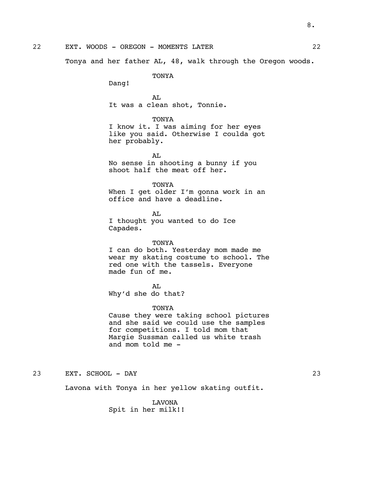Tonya and her father AL, 48, walk through the Oregon woods.

TONYA

Dang!

AL It was a clean shot, Tonnie.

TONYA

I know it. I was aiming for her eyes like you said. Otherwise I coulda got her probably.

AL No sense in shooting a bunny if you shoot half the meat off her.

TONYA When I get older I'm gonna work in an office and have a deadline.

AL I thought you wanted to do Ice Capades.

#### TONYA

I can do both. Yesterday mom made me wear my skating costume to school. The red one with the tassels. Everyone made fun of me.

AT.

Why'd she do that?

#### TONYA

Cause they were taking school pictures and she said we could use the samples for competitions. I told mom that Margie Sussman called us white trash and mom told me -

23 EXT. SCHOOL - DAY 23

Lavona with Tonya in her yellow skating outfit.

LAVONA Spit in her milk!!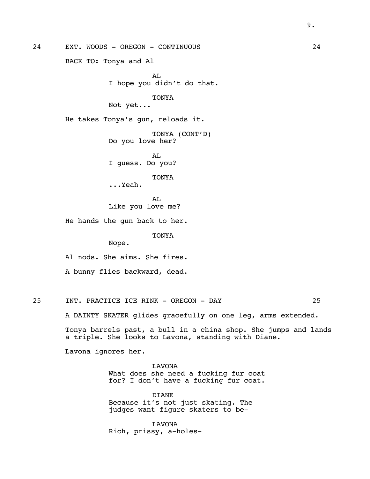24 EXT. WOODS - OREGON - CONTINUOUS 24 BACK TO: Tonya and Al AL I hope you didn't do that. TONYA Not yet... He takes Tonya's gun, reloads it. TONYA (CONT'D) Do you love her? AT. I guess. Do you? TONYA ...Yeah. AL Like you love me? He hands the gun back to her. TONYA Nope. Al nods. She aims. She fires. A bunny flies backward, dead. 25 INT. PRACTICE ICE RINK - OREGON - DAY 25 A DAINTY SKATER glides gracefully on one leg, arms extended. Tonya barrels past, a bull in a china shop. She jumps and lands a triple. She looks to Lavona, standing with Diane. Lavona ignores her.

> LAVONA What does she need a fucking fur coat for? I don't have a fucking fur coat.

DIANE Because it's not just skating. The judges want figure skaters to be-

LAVONA Rich, prissy, a-holes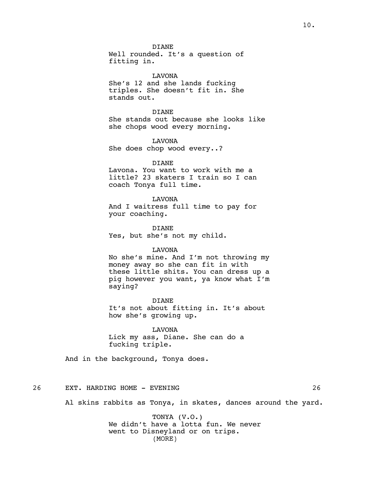**DIANE** 

Well rounded. It's a question of fitting in.

LAVONA She's 12 and she lands fucking triples. She doesn't fit in. She stands out.

DIANE She stands out because she looks like she chops wood every morning.

LAVONA She does chop wood every..?

DIANE

Lavona. You want to work with me a little? 23 skaters I train so I can coach Tonya full time.

LAVONA

And I waitress full time to pay for your coaching.

DIANE Yes, but she's not my child.

#### LAVONA

No she's mine. And I'm not throwing my money away so she can fit in with these little shits. You can dress up a pig however you want, ya know what I'm saying?

**DIANE** It's not about fitting in. It's about how she's growing up.

LAVONA Lick my ass, Diane. She can do a fucking triple.

And in the background, Tonya does.

26 EXT. HARDING HOME - EVENING 26

Al skins rabbits as Tonya, in skates, dances around the yard.

TONYA (V.O.) We didn't have a lotta fun. We never went to Disneyland or on trips. (MORE)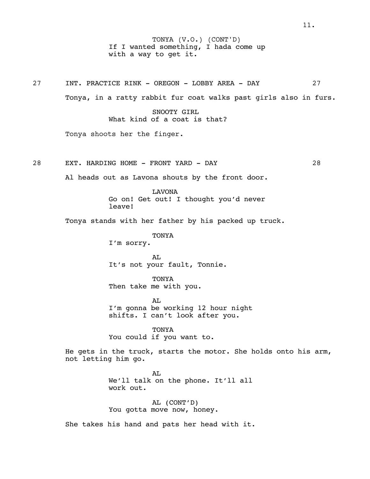If I wanted something, I hada come up with a way to get it. TONYA (V.O.) (CONT'D)

27 INT. PRACTICE RINK - OREGON - LOBBY AREA - DAY 27

Tonya, in a ratty rabbit fur coat walks past girls also in furs.

SNOOTY GIRL What kind of a coat is that?

Tonya shoots her the finger.

28 EXT. HARDING HOME - FRONT YARD - DAY 28

Al heads out as Lavona shouts by the front door.

LAVONA Go on! Get out! I thought you'd never leave!

Tonya stands with her father by his packed up truck.

TONYA I'm sorry.

AL It's not your fault, Tonnie.

TONYA Then take me with you.

AL. I'm gonna be working 12 hour night shifts. I can't look after you.

TONYA You could if you want to.

He gets in the truck, starts the motor. She holds onto his arm, not letting him go.

> AL We'll talk on the phone. It'll all work out.

AL (CONT'D) You gotta move now, honey.

She takes his hand and pats her head with it.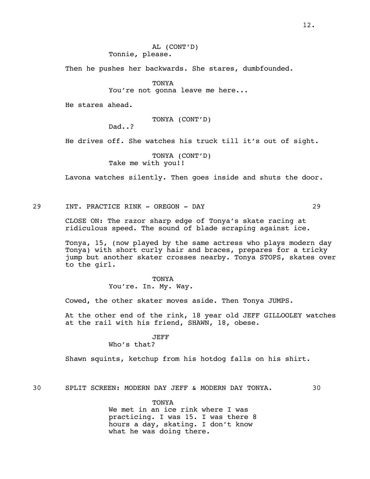Then he pushes her backwards. She stares, dumbfounded.

TONYA

You're not gonna leave me here...

He stares ahead.

TONYA (CONT'D)

Dad..?

He drives off. She watches his truck till it's out of sight.

TONYA (CONT'D) Take me with you!!

Lavona watches silently. Then goes inside and shuts the door.

29 INT. PRACTICE RINK - OREGON - DAY 29

CLOSE ON: The razor sharp edge of Tonya's skate racing at ridiculous speed. The sound of blade scraping against ice.

Tonya, 15, (now played by the same actress who plays modern day Tonya) with short curly hair and braces, prepares for a tricky jump but another skater crosses nearby. Tonya STOPS, skates over to the girl.

> TONYA You're. In. My. Way.

Cowed, the other skater moves aside. Then Tonya JUMPS.

At the other end of the rink, 18 year old JEFF GILLOOLEY watches at the rail with his friend, SHAWN, 18, obese.

JEFF

Who's that?

Shawn squints, ketchup from his hotdog falls on his shirt.

30 SPLIT SCREEN: MODERN DAY JEFF & MODERN DAY TONYA. 30

TONYA We met in an ice rink where I was practicing. I was 15. I was there 8 hours a day, skating. I don't know what he was doing there.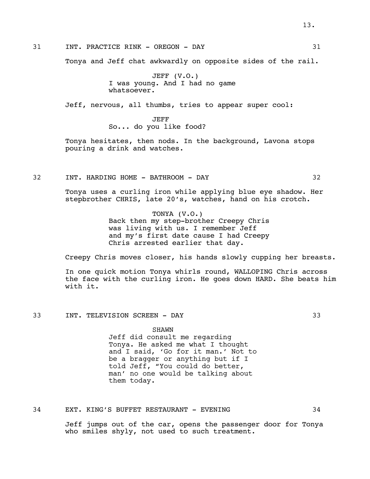# 31 INT. PRACTICE RINK - OREGON - DAY 31

Tonya and Jeff chat awkwardly on opposite sides of the rail.

JEFF (V.O.) I was young. And I had no game whatsoever.

Jeff, nervous, all thumbs, tries to appear super cool:

JEFF So... do you like food?

Tonya hesitates, then nods. In the background, Lavona stops pouring a drink and watches.

32 INT. HARDING HOME - BATHROOM - DAY 32

Tonya uses a curling iron while applying blue eye shadow. Her stepbrother CHRIS, late 20's, watches, hand on his crotch.

> TONYA (V.O.) Back then my step-brother Creepy Chris was living with us. I remember Jeff and my's first date cause I had Creepy Chris arrested earlier that day.

Creepy Chris moves closer, his hands slowly cupping her breasts.

In one quick motion Tonya whirls round, WALLOPING Chris across the face with the curling iron. He goes down HARD. She beats him with it.

33 INT. TELEVISION SCREEN - DAY 33

SHAWN Jeff did consult me regarding Tonya. He asked me what I thought and I said, 'Go for it man.' Not to be a bragger or anything but if I told Jeff, "You could do better, man' no one would be talking about them today.

34 EXT. KING'S BUFFET RESTAURANT - EVENING 34

Jeff jumps out of the car, opens the passenger door for Tonya who smiles shyly, not used to such treatment.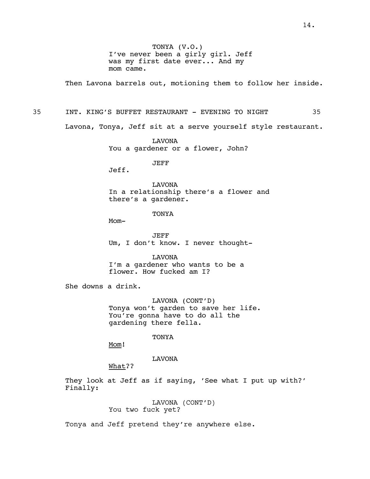TONYA (V.O.) I've never been a girly girl. Jeff was my first date ever... And my mom came.

Then Lavona barrels out, motioning them to follow her inside.

35 INT. KING'S BUFFET RESTAURANT - EVENING TO NIGHT 35

Lavona, Tonya, Jeff sit at a serve yourself style restaurant.

LAVONA You a gardener or a flower, John?

JEFF

Jeff.

LAVONA In a relationship there's a flower and there's a gardener.

TONYA

Mom-

JEFF Um, I don't know. I never thought-

LAVONA I'm a gardener who wants to be a flower. How fucked am I?

She downs a drink.

LAVONA (CONT'D) Tonya won't garden to save her life. You're gonna have to do all the gardening there fella.

TONYA

Mom!

LAVONA

What??

They look at Jeff as if saying, 'See what I put up with?' Finally:

> LAVONA (CONT'D) You two fuck yet?

Tonya and Jeff pretend they're anywhere else.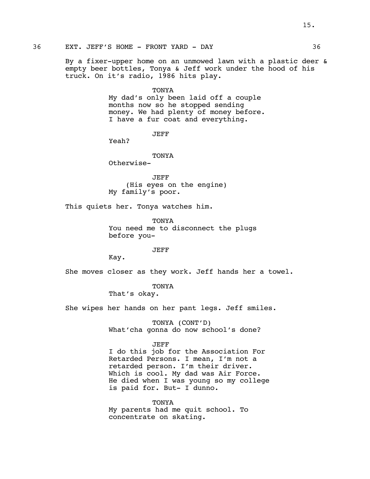36 EXT. JEFF'S HOME - FRONT YARD - DAY 36

By a fixer-upper home on an unmowed lawn with a plastic deer & empty beer bottles, Tonya & Jeff work under the hood of his truck. On it's radio, 1986 hits play.

TONYA

My dad's only been laid off a couple months now so he stopped sending money. We had plenty of money before. I have a fur coat and everything.

JEFF

Yeah?

TONYA

Otherwise-

JEFF (His eyes on the engine) My family's poor.

This quiets her. Tonya watches him.

**TONYA** You need me to disconnect the plugs before you-

JEFF

Kay.

She moves closer as they work. Jeff hands her a towel.

TONYA

That's okay.

She wipes her hands on her pant legs. Jeff smiles.

TONYA (CONT'D) What'cha gonna do now school's done?

#### JEFF

I do this job for the Association For Retarded Persons. I mean, I'm not a retarded person. I'm their driver. Which is cool. My dad was Air Force. He died when I was young so my college is paid for. But- I dunno.

TONYA My parents had me quit school. To concentrate on skating.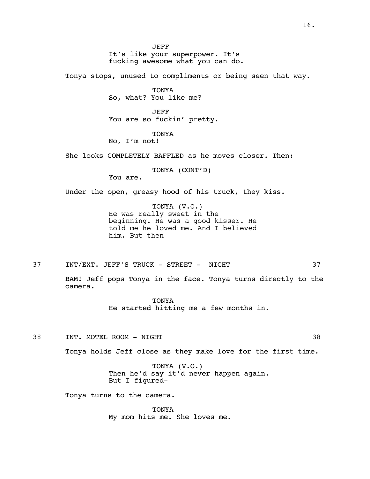JEFF It's like your superpower. It's fucking awesome what you can do.

Tonya stops, unused to compliments or being seen that way.

TONYA So, what? You like me?

JEFF You are so fuckin' pretty.

TONYA

No, I'm not!

She looks COMPLETELY BAFFLED as he moves closer. Then:

TONYA (CONT'D)

You are.

Under the open, greasy hood of his truck, they kiss.

TONYA (V.O.) He was really sweet in the beginning. He was a good kisser. He told me he loved me. And I believed him. But then-

37 INT/EXT. JEFF'S TRUCK - STREET - NIGHT 37

BAM! Jeff pops Tonya in the face. Tonya turns directly to the camera.

> **TONYA** He started hitting me a few months in.

38 INT. MOTEL ROOM - NIGHT 38

Tonya holds Jeff close as they make love for the first time.

TONYA (V.O.) Then he'd say it'd never happen again. But I figured-

Tonya turns to the camera.

TONYA My mom hits me. She loves me.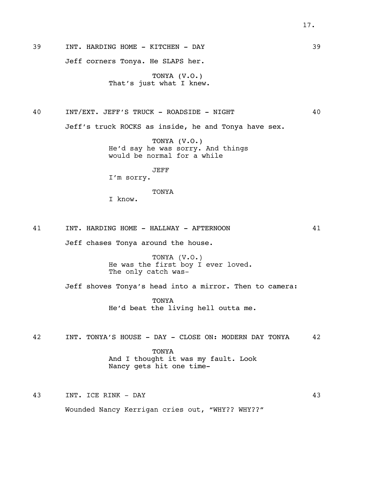39 INT. HARDING HOME - KITCHEN - DAY 39

Jeff corners Tonya. He SLAPS her.

TONYA (V.O.) That's just what I knew.

40 INT/EXT. JEFF'S TRUCK - ROADSIDE - NIGHT 40

Jeff's truck ROCKS as inside, he and Tonya have sex.

TONYA (V.O.) He'd say he was sorry. And things would be normal for a while

JEFF

I'm sorry.

# **TONYA**

I know.

41 INT. HARDING HOME - HALLWAY - AFTERNOON 41

Jeff chases Tonya around the house.

TONYA (V.O.) He was the first boy I ever loved. The only catch was-

Jeff shoves Tonya's head into a mirror. Then to camera:

**TONYA** He'd beat the living hell outta me.

42 INT. TONYA'S HOUSE - DAY - CLOSE ON: MODERN DAY TONYA 42

TONYA And I thought it was my fault. Look Nancy gets hit one time-

43 INT. ICE RINK - DAY 43

Wounded Nancy Kerrigan cries out, "WHY?? WHY??"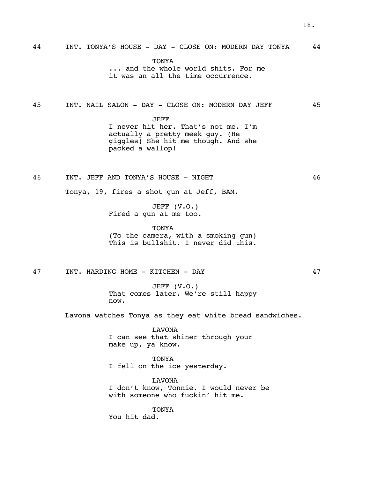44 INT. TONYA'S HOUSE - DAY - CLOSE ON: MODERN DAY TONYA 44

**TONYA** ... and the whole world shits. For me it was an all the time occurrence.

45 INT. NAIL SALON - DAY - CLOSE ON: MODERN DAY JEFF 45

JEFF I never hit her. That's not me. I'm actually a pretty meek guy. (He giggles) She hit me though. And she packed a wallop!

46 INT. JEFF AND TONYA'S HOUSE - NIGHT 46

JEFF (V.O.) Fired a gun at me too.

Tonya, 19, fires a shot gun at Jeff, BAM.

TONYA (To the camera, with a smoking gun) This is bullshit. I never did this.

47 INT. HARDING HOME - KITCHEN - DAY 47

JEFF (V.O.) That comes later. We're still happy now.

Lavona watches Tonya as they eat white bread sandwiches.

LAVONA I can see that shiner through your make up, ya know.

TONYA I fell on the ice yesterday.

LAVONA I don't know, Tonnie. I would never be with someone who fuckin' hit me.

TONYA You hit dad.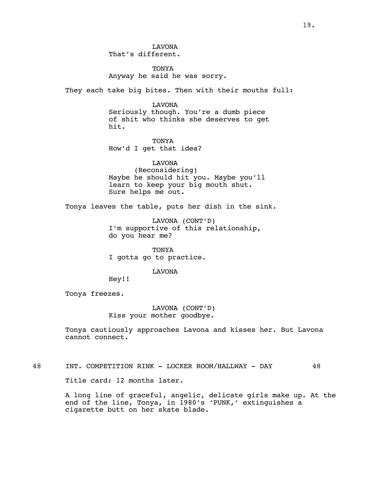TONYA Anyway he said he was sorry.

They each take big bites. Then with their mouths full:

LAVONA Seriously though. You're a dumb piece of shit who thinks she deserves to get hit.

**TONYA** How'd I get that idea?

LAVONA (Reconsidering) Maybe he should hit you. Maybe you'll learn to keep your big mouth shut. Sure helps me out.

Tonya leaves the table, puts her dish in the sink.

LAVONA (CONT'D) I'm supportive of this relationship, do you hear me?

TONYA I gotta go to practice.

#### LAVONA

Hey!!

Tonya freezes.

LAVONA (CONT'D) Kiss your mother goodbye.

Tonya cautiously approaches Lavona and kisses her. But Lavona cannot connect.

48 INT. COMPETITION RINK - LOCKER ROOM/HALLWAY - DAY 48

Title card: 12 months later.

A long line of graceful, angelic, delicate girls make up. At the end of the line, Tonya, in 1980's 'PUNK,' extinguishes a cigarette butt on her skate blade.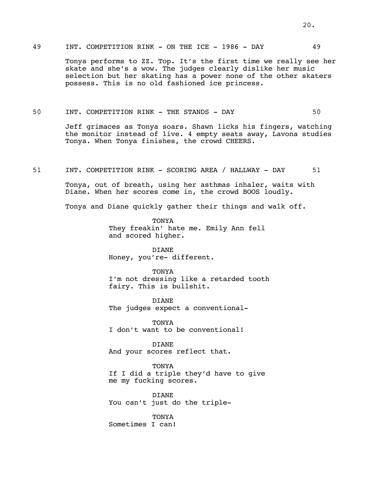# 49 INT. COMPETITION RINK - ON THE ICE - 1986 - DAY 49

Tonya performs to ZZ. Top. It's the first time we really see her skate and she's a wow. The judges clearly dislike her music selection but her skating has a power none of the other skaters possess. This is no old fashioned ice princess.

#### 50 INT. COMPETITION RINK - THE STANDS - DAY 50

Jeff grimaces as Tonya soars. Shawn licks his fingers, watching the monitor instead of live. 4 empty seats away, Lavona studies Tonya. When Tonya finishes, the crowd CHEERS.

51 INT. COMPETITION RINK - SCORING AREA / HALLWAY - DAY 51

Tonya, out of breath, using her asthmas inhaler, waits with Diane. When her scores come in, the crowd BOOS loudly.

Tonya and Diane quickly gather their things and walk off.

**TONYA** They freakin' hate me. Emily Ann fell and scored higher.

DIANE Honey, you're- different.

**TONYA** I'm not dressing like a retarded tooth fairy. This is bullshit.

DIANE The judges expect a conventional-

TONYA I don't want to be conventional!

DIANE And your scores reflect that.

**TONYA** If I did a triple they'd have to give me my fucking scores.

DIANE You can't just do the triple-

TONYA Sometimes I can!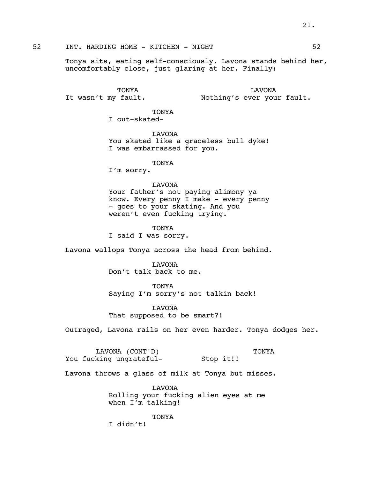52 INT. HARDING HOME - KITCHEN - NIGHT 62

Tonya sits, eating self-consciously. Lavona stands behind her, uncomfortably close, just glaring at her. Finally:

TONYA It wasn't my fault.

LAVONA Nothing's ever your fault.

**TONYA** I out-skated-

LAVONA You skated like a graceless bull dyke! I was embarrassed for you.

### TONYA

I'm sorry.

# LAVONA

Your father's not paying alimony ya know. Every penny I make - every penny - goes to your skating. And you weren't even fucking trying.

TONYA I said I was sorry.

Lavona wallops Tonya across the head from behind.

LAVONA Don't talk back to me.

**TONYA** 

Saying I'm sorry's not talkin back!

LAVONA That supposed to be smart?!

Outraged, Lavona rails on her even harder. Tonya dodges her.

LAVONA (CONT'D) You fucking ungrateful-Stop it!! TONYA

Lavona throws a glass of milk at Tonya but misses.

LAVONA Rolling your fucking alien eyes at me when I'm talking!

TONYA I didn't!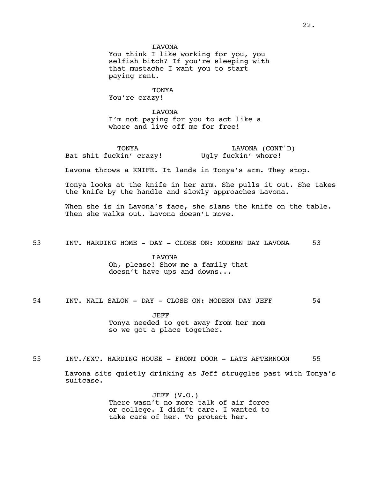LAVONA

You think I like working for you, you selfish bitch? If you're sleeping with that mustache I want you to start paying rent.

TONYA You're crazy!

LAVONA I'm not paying for you to act like a whore and live off me for free!

TONYA Bat shit fuckin' crazy! Ugly fuckin' whore!

LAVONA (CONT'D)

Lavona throws a KNIFE. It lands in Tonya's arm. They stop.

Tonya looks at the knife in her arm. She pulls it out. She takes the knife by the handle and slowly approaches Lavona.

When she is in Lavona's face, she slams the knife on the table. Then she walks out. Lavona doesn't move.

53 INT. HARDING HOME - DAY - CLOSE ON: MODERN DAY LAVONA 53

LAVONA Oh, please! Show me a family that doesn't have ups and downs...

54 INT. NAIL SALON - DAY - CLOSE ON: MODERN DAY JEFF 54

JEFF Tonya needed to get away from her mom so we got a place together.

55 INT./EXT. HARDING HOUSE - FRONT DOOR - LATE AFTERNOON 55 Lavona sits quietly drinking as Jeff struggles past with Tonya's suitcase.

> JEFF (V.O.) There wasn't no more talk of air force or college. I didn't care. I wanted to take care of her. To protect her.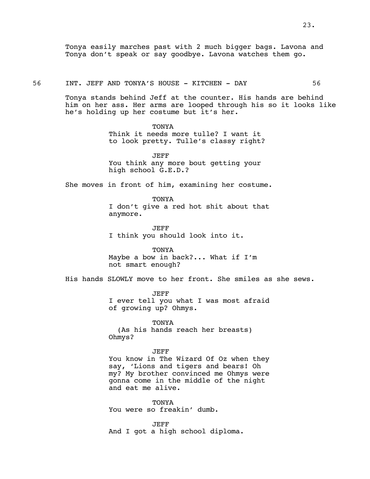Tonya easily marches past with 2 much bigger bags. Lavona and Tonya don't speak or say goodbye. Lavona watches them go.

56 INT. JEFF AND TONYA'S HOUSE - KITCHEN - DAY 56

Tonya stands behind Jeff at the counter. His hands are behind him on her ass. Her arms are looped through his so it looks like he's holding up her costume but it's her.

> **TONYA** Think it needs more tulle? I want it to look pretty. Tulle's classy right?

JEFF You think any more bout getting your high school G.E.D.?

She moves in front of him, examining her costume.

TONYA I don't give a red hot shit about that anymore.

JEFF I think you should look into it.

TONYA Maybe a bow in back?... What if I'm not smart enough?

His hands SLOWLY move to her front. She smiles as she sews.

JEFF I ever tell you what I was most afraid of growing up? Ohmys.

TONYA (As his hands reach her breasts) Ohmys?

JEFF You know in The Wizard Of Oz when they say, 'Lions and tigers and bears! Oh my? My brother convinced me Ohmys were gonna come in the middle of the night and eat me alive.

TONYA You were so freakin' dumb.

JEFF And I got a high school diploma.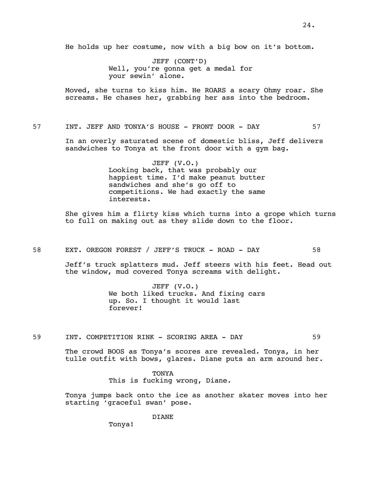JEFF (CONT'D) Well, you're gonna get a medal for your sewin' alone.

Moved, she turns to kiss him. He ROARS a scary Ohmy roar. She screams. He chases her, grabbing her ass into the bedroom.

57 INT. JEFF AND TONYA'S HOUSE - FRONT DOOR - DAY 57

In an overly saturated scene of domestic bliss, Jeff delivers sandwiches to Tonya at the front door with a gym bag.

> JEFF (V.O.) Looking back, that was probably our happiest time. I'd make peanut butter sandwiches and she's go off to competitions. We had exactly the same interests.

She gives him a flirty kiss which turns into a grope which turns to full on making out as they slide down to the floor.

58 EXT. OREGON FOREST / JEFF'S TRUCK - ROAD - DAY 58

Jeff's truck splatters mud. Jeff steers with his feet. Head out the window, mud covered Tonya screams with delight.

> JEFF (V.O.) We both liked trucks. And fixing cars up. So. I thought it would last forever!

59 INT. COMPETITION RINK - SCORING AREA - DAY 59

The crowd BOOS as Tonya's scores are revealed. Tonya, in her tulle outfit with bows, glares. Diane puts an arm around her.

> TONYA This is fucking wrong, Diane.

Tonya jumps back onto the ice as another skater moves into her starting 'graceful swan' pose.

DIANE

Tonya!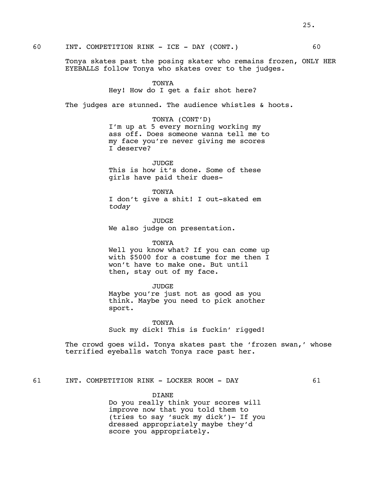60 INT. COMPETITION RINK - ICE - DAY (CONT.) 60

Tonya skates past the posing skater who remains frozen, ONLY HER EYEBALLS follow Tonya who skates over to the judges.

#### TONYA

Hey! How do I get a fair shot here?

The judges are stunned. The audience whistles & hoots.

TONYA (CONT'D)

I'm up at 5 every morning working my ass off. Does someone wanna tell me to my face you're never giving me scores I deserve?

**JUDGE** This is how it's done. Some of these girls have paid their dues-

TONYA I don't give a shit! I out-skated em *today*

JUDGE We also judge on presentation.

TONYA

Well you know what? If you can come up with \$5000 for a costume for me then I won't have to make one. But until then, stay out of my face.

JUDGE Maybe you're just not as good as you think. Maybe you need to pick another sport.

TONYA Suck my dick! This is fuckin' rigged!

The crowd goes wild. Tonya skates past the 'frozen swan,' whose terrified eyeballs watch Tonya race past her.

61 INT. COMPETITION RINK - LOCKER ROOM - DAY 61

DIANE Do you really think your scores will improve now that you told them to (tries to say 'suck my dick')- If you dressed appropriately maybe they'd score you appropriately.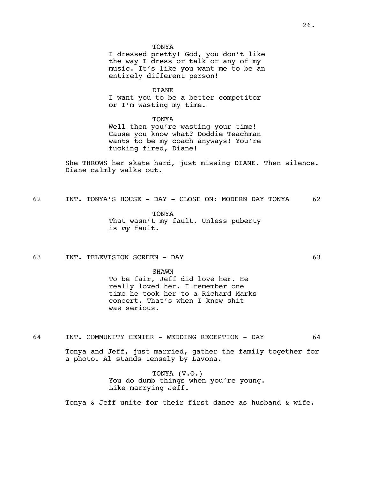**TONYA** 

I dressed pretty! God, you don't like the way I dress or talk or any of my music. It's like you want me to be an entirely different person!

DIANE

I want you to be a better competitor or I'm wasting my time.

TONYA

Well then you're wasting your time! Cause you know what? Doddie Teachman wants to be my coach anyways! You're fucking fired, Diane!

She THROWS her skate hard, just missing DIANE. Then silence. Diane calmly walks out.

62 INT. TONYA'S HOUSE - DAY - CLOSE ON: MODERN DAY TONYA 62

TONYA That wasn't my fault. Unless puberty is *my* fault.

63 INT. TELEVISION SCREEN - DAY 63

SHAWN To be fair, Jeff did love her. He really loved her. I remember one time he took her to a Richard Marks concert. That's when I knew shit was serious.

64 INT. COMMUNITY CENTER - WEDDING RECEPTION - DAY 64

Tonya and Jeff, just married, gather the family together for a photo. Al stands tensely by Lavona.

> TONYA (V.O.) You do dumb things when you're young. Like marrying Jeff.

Tonya & Jeff unite for their first dance as husband & wife.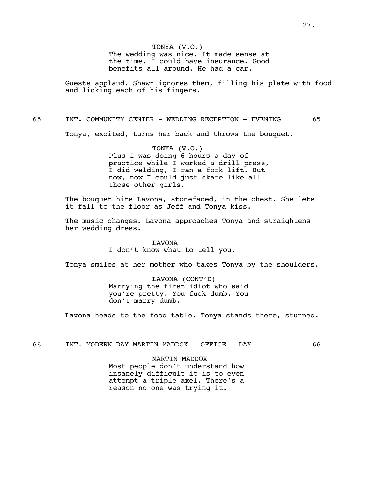TONYA (V.O.) The wedding was nice. It made sense at the time. I could have insurance. Good benefits all around. He had a car.

Guests applaud. Shawn ignores them, filling his plate with food and licking each of his fingers.

65 INT. COMMUNITY CENTER - WEDDING RECEPTION - EVENING 65

Tonya, excited, turns her back and throws the bouquet.

TONYA (V.O.) Plus I was doing 6 hours a day of practice while I worked a drill press, I did welding, I ran a fork lift. But now, now I could just skate like all those other girls.

The bouquet hits Lavona, stonefaced, in the chest. She lets it fall to the floor as Jeff and Tonya kiss.

The music changes. Lavona approaches Tonya and straightens her wedding dress.

> LAVONA I don't know what to tell you.

Tonya smiles at her mother who takes Tonya by the shoulders.

LAVONA (CONT'D) Marrying the first idiot who said you're pretty. You fuck dumb. You don't marry dumb.

Lavona heads to the food table. Tonya stands there, stunned.

66 INT. MODERN DAY MARTIN MADDOX - OFFICE - DAY 66

MARTIN MADDOX Most people don't understand how insanely difficult it is to even attempt a triple axel. There's a reason no one was trying it.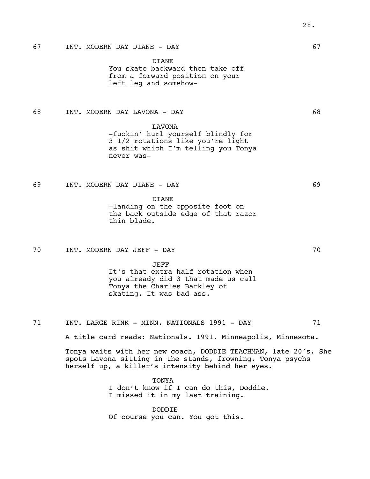# 67 INT. MODERN DAY DIANE - DAY 67

DIANE

You skate backward then take off from a forward position on your left leg and somehow-

68 INT. MODERN DAY LAVONA - DAY 68

LAVONA

-fuckin' hurl yourself blindly for 3 1/2 rotations like you're light as shit which I'm telling you Tonya never was-

69 INT. MODERN DAY DIANE - DAY 69

DIANE -landing on the opposite foot on the back outside edge of that razor thin blade.

70 INT. MODERN DAY JEFF - DAY 70

JEFF

It's that extra half rotation when you already did 3 that made us call Tonya the Charles Barkley of skating. It was bad ass.

71 INT. LARGE RINK - MINN. NATIONALS 1991 - DAY 71

A title card reads: Nationals. 1991. Minneapolis, Minnesota.

Tonya waits with her new coach, DODDIE TEACHMAN, late 20's. She spots Lavona sitting in the stands, frowning. Tonya psychs herself up, a killer's intensity behind her eyes.

> **TONYA** I don't know if I can do this, Doddie. I missed it in my last training.

DODDIE Of course you can. You got this.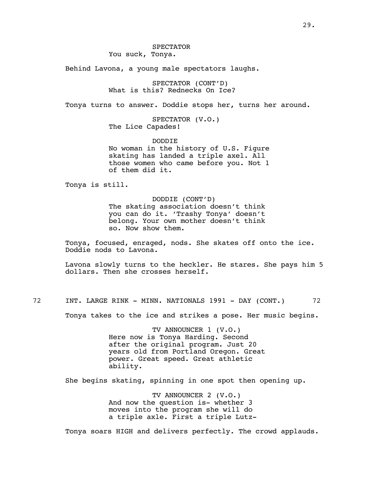# SPECTATOR

You suck, Tonya.

Behind Lavona, a young male spectators laughs.

SPECTATOR (CONT'D) What is this? Rednecks On Ice?

Tonya turns to answer. Doddie stops her, turns her around.

SPECTATOR (V.O.) The Lice Capades!

DODDIE No woman in the history of U.S. Figure skating has landed a triple axel. All those women who came before you. Not 1 of them did it.

Tonya is still.

#### DODDIE (CONT'D)

The skating association doesn't think you can do it. 'Trashy Tonya' doesn't belong. Your own mother doesn't think so. Now show them.

Tonya, focused, enraged, nods. She skates off onto the ice. Doddie nods to Lavona.

Lavona slowly turns to the heckler. He stares. She pays him 5 dollars. Then she crosses herself.

72 INT. LARGE RINK - MINN. NATIONALS 1991 - DAY (CONT.) 72

Tonya takes to the ice and strikes a pose. Her music begins.

TV ANNOUNCER 1 (V.O.) Here now is Tonya Harding. Second after the original program. Just 20 years old from Portland Oregon. Great power. Great speed. Great athletic ability.

She begins skating, spinning in one spot then opening up.

TV ANNOUNCER 2 (V.O.) And now the question is- whether 3 moves into the program she will do a triple axle. First a triple Lutz-

Tonya soars HIGH and delivers perfectly. The crowd applauds.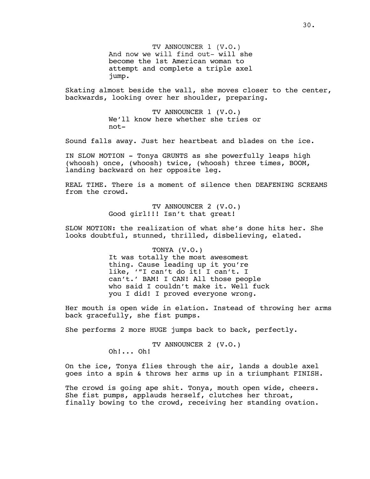TV ANNOUNCER 1 (V.O.) And now we will find out- will she become the 1st American woman to attempt and complete a triple axel jump.

Skating almost beside the wall, she moves closer to the center, backwards, looking over her shoulder, preparing.

> TV ANNOUNCER 1 (V.O.) We'll know here whether she tries or not-

Sound falls away. Just her heartbeat and blades on the ice.

IN SLOW MOTION - Tonya GRUNTS as she powerfully leaps high (whoosh) once, (whoosh) twice, (whoosh) three times, BOOM, landing backward on her opposite leg.

REAL TIME. There is a moment of silence then DEAFENING SCREAMS from the crowd.

> TV ANNOUNCER 2 (V.O.) Good girl!!! Isn't that great!

SLOW MOTION: the realization of what she's done hits her. She looks doubtful, stunned, thrilled, disbelieving, elated.

> TONYA (V.O.) It was totally the most awesomest thing. Cause leading up it you're like, '"I can't do it! I can't. I can't.' BAM! I CAN! All those people who said I couldn't make it. Well fuck you I did! I proved everyone wrong.

Her mouth is open wide in elation. Instead of throwing her arms back gracefully, she fist pumps.

She performs 2 more HUGE jumps back to back, perfectly.

TV ANNOUNCER 2 (V.O.) Oh!... Oh!

On the ice, Tonya flies through the air, lands a double axel goes into a spin & throws her arms up in a triumphant FINISH.

The crowd is going ape shit. Tonya, mouth open wide, cheers. She fist pumps, applauds herself, clutches her throat, finally bowing to the crowd, receiving her standing ovation.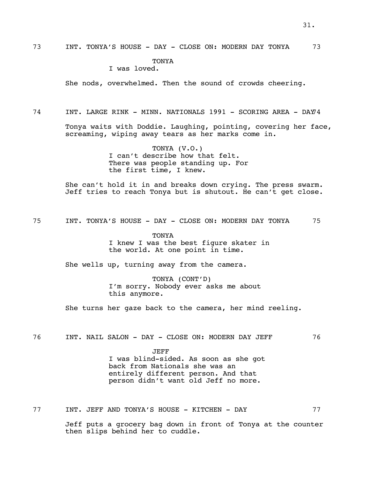73 INT. TONYA'S HOUSE - DAY - CLOSE ON: MODERN DAY TONYA 73

# **TONYA**

# I was loved.

She nods, overwhelmed. Then the sound of crowds cheering.

74 INT. LARGE RINK - MINN. NATIONALS 1991 - SCORING AREA - DAY74

Tonya waits with Doddie. Laughing, pointing, covering her face, screaming, wiping away tears as her marks come in.

> TONYA (V.O.) I can't describe how that felt. There was people standing up. For the first time, I knew.

She can't hold it in and breaks down crying. The press swarm. Jeff tries to reach Tonya but is shutout. He can't get close.

75 INT. TONYA'S HOUSE - DAY - CLOSE ON: MODERN DAY TONYA 75

TONYA I knew I was the best figure skater in the world. At one point in time.

She wells up, turning away from the camera.

TONYA (CONT'D) I'm sorry. Nobody ever asks me about this anymore.

She turns her gaze back to the camera, her mind reeling.

76 INT. NAIL SALON - DAY - CLOSE ON: MODERN DAY JEFF 76

JEFF I was blind-sided. As soon as she got back from Nationals she was an entirely different person. And that person didn't want old Jeff no more.

77 INT. JEFF AND TONYA'S HOUSE - KITCHEN - DAY 77

Jeff puts a grocery bag down in front of Tonya at the counter then slips behind her to cuddle.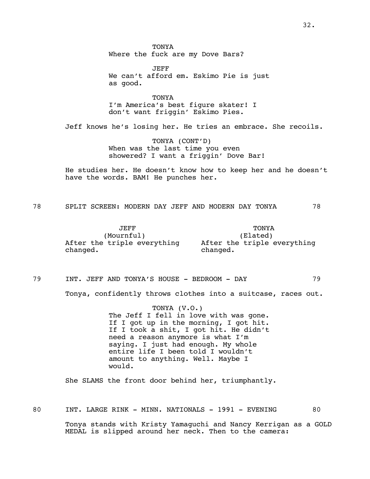**TONYA** Where the fuck are my Dove Bars?

JEFF We can't afford em. Eskimo Pie is just as good.

TONYA I'm America's best figure skater! I don't want friggin' Eskimo Pies.

Jeff knows he's losing her. He tries an embrace. She recoils.

TONYA (CONT'D) When was the last time you even showered? I want a friggin' Dove Bar!

He studies her. He doesn't know how to keep her and he doesn't have the words. BAM! He punches her.

78 SPLIT SCREEN: MODERN DAY JEFF AND MODERN DAY TONYA 78

JEFF (Mournful) After the triple everything After the triple everything changed. TONYA (Elated) changed.

79 INT. JEFF AND TONYA'S HOUSE - BEDROOM - DAY 79

Tonya, confidently throws clothes into a suitcase, races out.

TONYA (V.O.) The Jeff I fell in love with was gone. If I got up in the morning, I got hit. If I took a shit, I got hit. He didn't need a reason anymore is what I'm saying. I just had enough. My whole entire life I been told I wouldn't amount to anything. Well. Maybe I would.

She SLAMS the front door behind her, triumphantly.

80 INT. LARGE RINK - MINN. NATIONALS - 1991 - EVENING 80

Tonya stands with Kristy Yamaguchi and Nancy Kerrigan as a GOLD MEDAL is slipped around her neck. Then to the camera: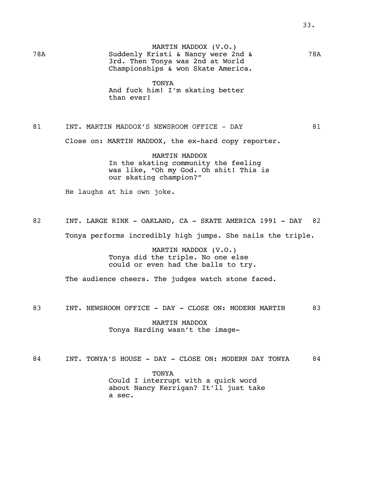MARTIN MADDOX (V.O.) 78A Suddenly Kristi & Nancy were 2nd & 78A 3rd. Then Tonya was 2nd at World Championships & won Skate America.

> TONYA And fuck him! I'm skating better than ever!

# 81 INT. MARTIN MADDOX'S NEWSROOM OFFICE - DAY 61

Close on: MARTIN MADDOX, the ex-hard copy reporter.

MARTIN MADDOX In the skating community the feeling was like, "Oh my God. Oh shit! This is our skating champion?"

He laughs at his own joke.

82 INT. LARGE RINK - OAKLAND, CA - SKATE AMERICA 1991 - DAY 82

Tonya performs incredibly high jumps. She nails the triple.

MARTIN MADDOX (V.O.) Tonya did the triple. No one else could or even had the balls to try.

The audience cheers. The judges watch stone faced.

83 INT. NEWSROOM OFFICE - DAY - CLOSE ON: MODERN MARTIN 83

MARTIN MADDOX Tonya Harding wasn't the image-

84 INT. TONYA'S HOUSE - DAY - CLOSE ON: MODERN DAY TONYA 84

TONYA Could I interrupt with a quick word about Nancy Kerrigan? It'll just take a sec.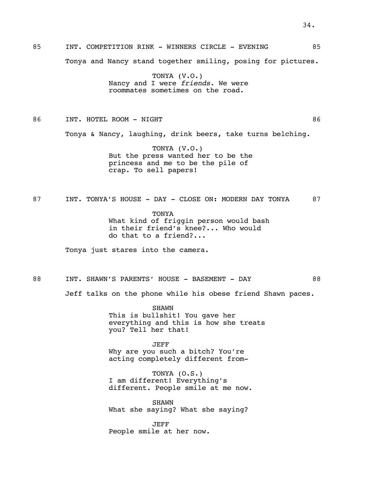# 85 INT. COMPETITION RINK - WINNERS CIRCLE - EVENING 85 Tonya and Nancy stand together smiling, posing for pictures.

TONYA (V.O.) Nancy and I were *friends*. We were roommates sometimes on the road.

86 INT. HOTEL ROOM - NIGHT 86

Tonya & Nancy, laughing, drink beers, take turns belching.

TONYA (V.O.) But the press wanted her to be the princess and me to be the pile of crap. To sell papers!

87 INT. TONYA'S HOUSE - DAY - CLOSE ON: MODERN DAY TONYA 87

TONYA What kind of friggin person would bash in their friend's knee?... Who would do that to a friend?...

Tonya just stares into the camera.

88 INT. SHAWN'S PARENTS' HOUSE - BASEMENT - DAY 68

Jeff talks on the phone while his obese friend Shawn paces.

SHAWN This is bullshit! You gave her everything and this is how she treats you? Tell her that!

JEFF Why are you such a bitch? You're acting completely different from-

TONYA (O.S.) I am different! Everything's different. People smile at me now.

SHAWN What she saying? What she saying?

JEFF People smile at her now.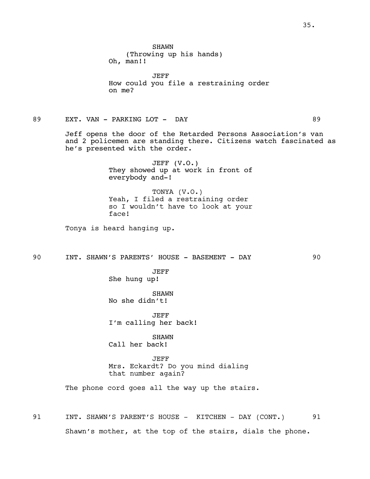**SHAWN** (Throwing up his hands) Oh, man!!

JEFF How could you file a restraining order on me?

89 EXT. VAN - PARKING LOT - DAY 69

Jeff opens the door of the Retarded Persons Association's van and 2 policemen are standing there. Citizens watch fascinated as he's presented with the order.

> JEFF (V.O.) They showed up at work in front of everybody and-!

> TONYA (V.O.) Yeah, I filed a restraining order so I wouldn't have to look at your face!

Tonya is heard hanging up.

90 INT. SHAWN'S PARENTS' HOUSE - BASEMENT - DAY 90

JEFF She hung up!

SHAWN No she didn't!

JEFF I'm calling her back!

SHAWN Call her back!

JEFF Mrs. Eckardt? Do you mind dialing that number again?

The phone cord goes all the way up the stairs.

91 INT. SHAWN'S PARENT'S HOUSE - KITCHEN - DAY (CONT.) 91 Shawn's mother, at the top of the stairs, dials the phone.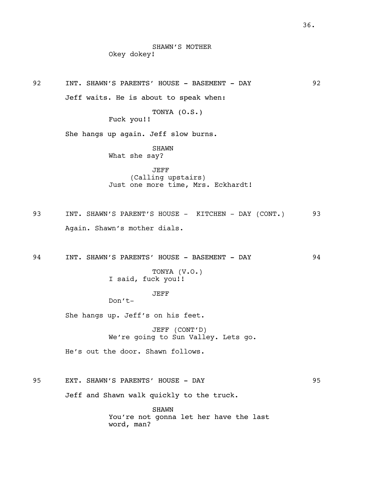92 INT. SHAWN'S PARENTS' HOUSE - BASEMENT - DAY 92 Jeff waits. He is about to speak when:

> TONYA (O.S.) Fuck you!!

She hangs up again. Jeff slow burns.

SHAWN What she say?

JEFF (Calling upstairs) Just one more time, Mrs. Eckhardt!

93 INT. SHAWN'S PARENT'S HOUSE - KITCHEN - DAY (CONT.) 93 Again. Shawn's mother dials.

94 INT. SHAWN'S PARENTS' HOUSE - BASEMENT - DAY 94

TONYA (V.O.) I said, fuck you!!

JEFF

Don't-

She hangs up. Jeff's on his feet.

JEFF (CONT'D) We're going to Sun Valley. Lets go.

He's out the door. Shawn follows.

95 EXT. SHAWN'S PARENTS' HOUSE - DAY 95

Jeff and Shawn walk quickly to the truck.

SHAWN You're not gonna let her have the last word, man?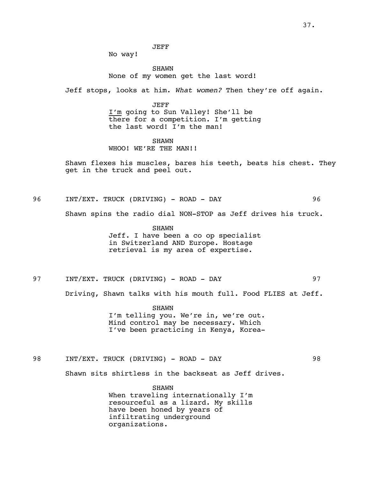JEFF

No way!

**SHAWN** None of my women get the last word!

Jeff stops, looks at him. *What women?* Then they're off again.

JEFF I'm going to Sun Valley! She'll be there for a competition. I'm getting the last word! I'm the man!

SHAWN WHOO! WE'RE THE MAN!!

Shawn flexes his muscles, bares his teeth, beats his chest. They get in the truck and peel out.

96 INT/EXT. TRUCK (DRIVING) - ROAD - DAY 96

Shawn spins the radio dial NON-STOP as Jeff drives his truck.

SHAWN Jeff. I have been a co op specialist in Switzerland AND Europe. Hostage retrieval is my area of expertise.

97 INT/EXT. TRUCK (DRIVING) - ROAD - DAY 97

Driving, Shawn talks with his mouth full. Food FLIES at Jeff.

SHAWN I'm telling you. We're in, we're out. Mind control may be necessary. Which I've been practicing in Kenya, Korea-

98 INT/EXT. TRUCK (DRIVING) - ROAD - DAY 98

Shawn sits shirtless in the backseat as Jeff drives.

SHAWN When traveling internationally I'm resourceful as a lizard. My skills have been honed by years of infiltrating underground organizations.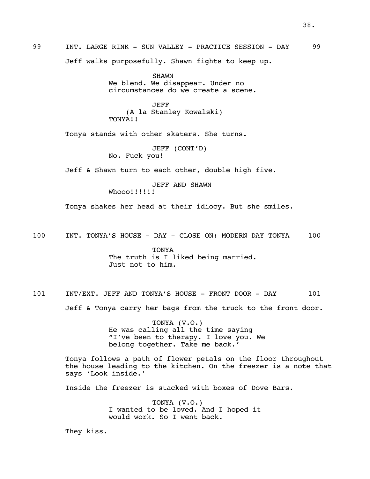Jeff walks purposefully. Shawn fights to keep up.

SHAWN We blend. We disappear. Under no circumstances do we create a scene.

JEFF (A la Stanley Kowalski) TONYA!!

Tonya stands with other skaters. She turns.

JEFF (CONT'D) No. Fuck you!

Jeff & Shawn turn to each other, double high five.

JEFF AND SHAWN

Whooo!!!!!!

Tonya shakes her head at their idiocy. But she smiles.

100 INT. TONYA'S HOUSE - DAY - CLOSE ON: MODERN DAY TONYA 100

TONYA The truth is I liked being married. Just not to him.

101 INT/EXT. JEFF AND TONYA'S HOUSE - FRONT DOOR - DAY 101 Jeff & Tonya carry her bags from the truck to the front door.

> TONYA (V.O.) He was calling all the time saying "I've been to therapy. I love you. We belong together. Take me back.'

Tonya follows a path of flower petals on the floor throughout the house leading to the kitchen. On the freezer is a note that says 'Look inside.'

Inside the freezer is stacked with boxes of Dove Bars.

TONYA (V.O.) I wanted to be loved. And I hoped it would work. So I went back.

They kiss.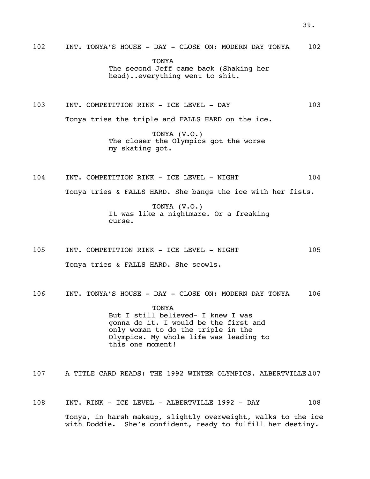**TONYA** The second Jeff came back (Shaking her head)..everything went to shit.

103 INT. COMPETITION RINK - ICE LEVEL - DAY 103

Tonya tries the triple and FALLS HARD on the ice.

TONYA (V.O.) The closer the Olympics got the worse my skating got.

104 INT. COMPETITION RINK - ICE LEVEL - NIGHT 104 Tonya tries & FALLS HARD. She bangs the ice with her fists.

> TONYA (V.O.) It was like a nightmare. Or a freaking curse.

105 INT. COMPETITION RINK - ICE LEVEL - NIGHT 105 Tonya tries & FALLS HARD. She scowls.

106 INT. TONYA'S HOUSE - DAY - CLOSE ON: MODERN DAY TONYA 106

**TONYA** But I still believed- I knew I was gonna do it. I would be the first and only woman to do the triple in the Olympics. My whole life was leading to this one moment!

107 A TITLE CARD READS: THE 1992 WINTER OLYMPICS. ALBERTVILLE.107

108 INT. RINK - ICE LEVEL - ALBERTVILLE 1992 - DAY 108 Tonya, in harsh makeup, slightly overweight, walks to the ice with Doddie. She's confident, ready to fulfill her destiny.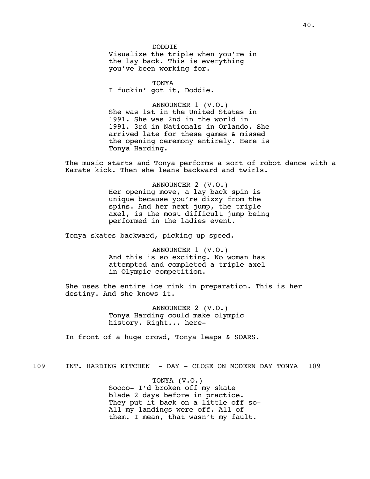DODDIE Visualize the triple when you're in the lay back. This is everything you've been working for.

TONYA I fuckin' got it, Doddie.

ANNOUNCER 1 (V.O.) She was 1st in the United States in 1991. She was 2nd in the world in 1991. 3rd in Nationals in Orlando. She arrived late for these games & missed the opening ceremony entirely. Here is Tonya Harding.

The music starts and Tonya performs a sort of robot dance with a Karate kick. Then she leans backward and twirls.

> ANNOUNCER 2 (V.O.) Her opening move, a lay back spin is unique because you're dizzy from the spins. And her next jump, the triple axel, is the most difficult jump being performed in the ladies event.

Tonya skates backward, picking up speed.

ANNOUNCER 1 (V.O.) And this is so exciting. No woman has attempted and completed a triple axel in Olympic competition.

She uses the entire ice rink in preparation. This is her destiny. And she knows it.

> ANNOUNCER 2 (V.O.) Tonya Harding could make olympic history. Right... here-

In front of a huge crowd, Tonya leaps & SOARS.

109 INT. HARDING KITCHEN - DAY - CLOSE ON MODERN DAY TONYA 109

TONYA (V.O.) Soooo- I'd broken off my skate blade 2 days before in practice. They put it back on a little off so-All my landings were off. All of them. I mean, that wasn't my fault.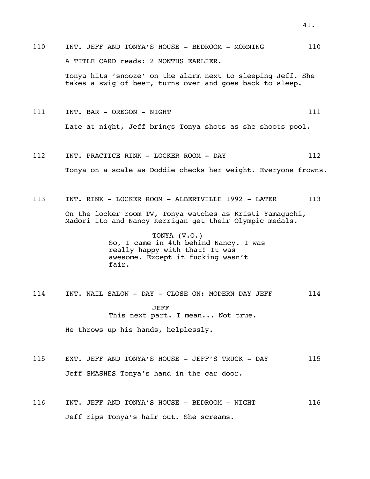110 INT. JEFF AND TONYA'S HOUSE - BEDROOM - MORNING 110 A TITLE CARD reads: 2 MONTHS EARLIER. Tonya hits 'snooze' on the alarm next to sleeping Jeff. She

takes a swig of beer, turns over and goes back to sleep.

111 INT. BAR - OREGON - NIGHT 111 211 Late at night, Jeff brings Tonya shots as she shoots pool.

- 112 INT. PRACTICE RINK LOCKER ROOM DAY 112 Tonya on a scale as Doddie checks her weight. Everyone frowns.
- 113 INT. RINK LOCKER ROOM ALBERTVILLE 1992 LATER 113 On the locker room TV, Tonya watches as Kristi Yamaguchi, Madori Ito and Nancy Kerrigan get their Olympic medals.

TONYA (V.O.) So, I came in 4th behind Nancy. I was really happy with that! It was awesome. Except it fucking wasn't fair.

114 INT. NAIL SALON - DAY - CLOSE ON: MODERN DAY JEFF 114 JEFF This next part. I mean... Not true. He throws up his hands, helplessly.

- 115 EXT. JEFF AND TONYA'S HOUSE JEFF'S TRUCK DAY 115 Jeff SMASHES Tonya's hand in the car door.
- 116 INT. JEFF AND TONYA'S HOUSE BEDROOM NIGHT 116 Jeff rips Tonya's hair out. She screams.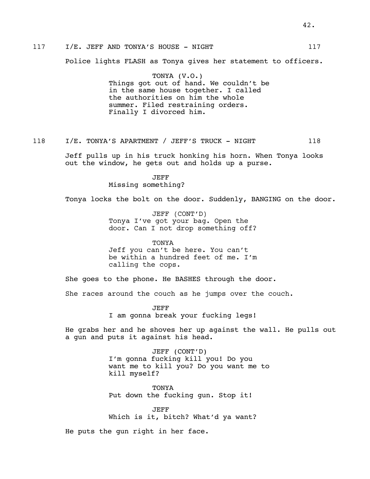# 117 I/E. JEFF AND TONYA'S HOUSE - NIGHT 117

Police lights FLASH as Tonya gives her statement to officers.

TONYA (V.O.) Things got out of hand. We couldn't be in the same house together. I called the authorities on him the whole summer. Filed restraining orders. Finally I divorced him.

# 118 I/E. TONYA'S APARTMENT / JEFF'S TRUCK - NIGHT 118

Jeff pulls up in his truck honking his horn. When Tonya looks out the window, he gets out and holds up a purse.

> JEFF Missing something?

Tonya locks the bolt on the door. Suddenly, BANGING on the door.

JEFF (CONT'D) Tonya I've got your bag. Open the door. Can I not drop something off?

TONYA Jeff you can't be here. You can't be within a hundred feet of me. I'm calling the cops.

She goes to the phone. He BASHES through the door.

She races around the couch as he jumps over the couch.

JEFF I am gonna break your fucking legs!

He grabs her and he shoves her up against the wall. He pulls out a gun and puts it against his head.

> JEFF (CONT'D) I'm gonna fucking kill you! Do you want me to kill you? Do you want me to kill myself?

TONYA Put down the fucking gun. Stop it!

JEFF Which is it, bitch? What'd ya want?

He puts the gun right in her face.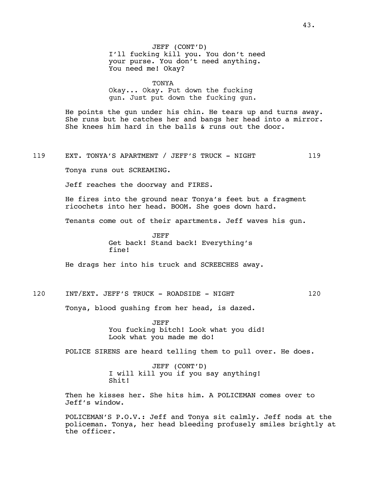## TONYA

Okay... Okay. Put down the fucking gun. Just put down the fucking gun.

He points the gun under his chin. He tears up and turns away. She runs but he catches her and bangs her head into a mirror. She knees him hard in the balls & runs out the door.

## 119 EXT. TONYA'S APARTMENT / JEFF'S TRUCK - NIGHT 119

Tonya runs out SCREAMING.

Jeff reaches the doorway and FIRES.

He fires into the ground near Tonya's feet but a fragment ricochets into her head. BOOM. She goes down hard.

Tenants come out of their apartments. Jeff waves his gun.

JEFF Get back! Stand back! Everything's fine!

He drags her into his truck and SCREECHES away.

# 120 INT/EXT. JEFF'S TRUCK - ROADSIDE - NIGHT 120

Tonya, blood gushing from her head, is dazed.

JEFF You fucking bitch! Look what you did! Look what you made me do!

POLICE SIRENS are heard telling them to pull over. He does.

JEFF (CONT'D) I will kill you if you say anything! Shit!

Then he kisses her. She hits him. A POLICEMAN comes over to Jeff's window.

POLICEMAN'S P.O.V.: Jeff and Tonya sit calmly. Jeff nods at the policeman. Tonya, her head bleeding profusely smiles brightly at the officer.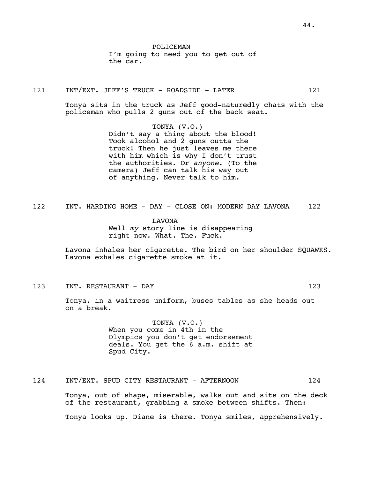POLICEMAN I'm going to need you to get out of the car.

121 INT/EXT. JEFF'S TRUCK - ROADSIDE - LATER 121

Tonya sits in the truck as Jeff good-naturedly chats with the policeman who pulls 2 guns out of the back seat.

> TONYA (V.O.) Didn't say a thing about the blood! Took alcohol and 2 guns outta the truck! Then he just leaves me there with him which is why I don't trust the authorities. Or *anyone*. (To the camera) Jeff can talk his way out of anything. Never talk to him.

122 INT. HARDING HOME - DAY - CLOSE ON: MODERN DAY LAVONA 122

LAVONA Well *my* story line is disappearing right now. What. The. Fuck.

Lavona inhales her cigarette. The bird on her shoulder SQUAWKS. Lavona exhales cigarette smoke at it.

123 INT. RESTAURANT - DAY 123

Tonya, in a waitress uniform, buses tables as she heads out on a break.

> TONYA (V.O.) When you come in 4th in the Olympics you don't get endorsement deals. You get the 6 a.m. shift at Spud City.

124 INT/EXT. SPUD CITY RESTAURANT - AFTERNOON 124

Tonya, out of shape, miserable, walks out and sits on the deck of the restaurant, grabbing a smoke between shifts. Then: Tonya looks up. Diane is there. Tonya smiles, apprehensively.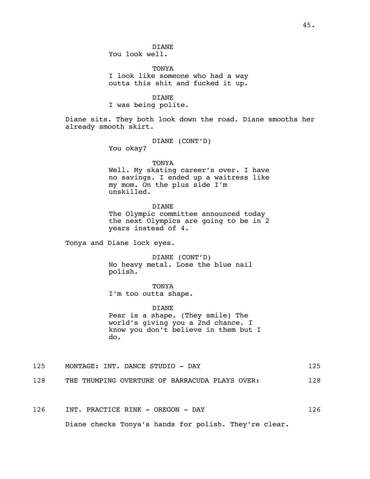**DIANE** You look well.

**TONYA** I look like someone who had a way outta this shit and fucked it up.

DIANE

I was being polite.

Diane sits. They both look down the road. Diane smooths her already smooth skirt.

DIANE (CONT'D)

You okay?

## TONYA

Well. My skating career's over. I have no savings. I ended up a waitress like my mom. On the plus side I'm unskilled.

**DIANE** 

The Olympic committee announced today the next Olympics are going to be in 2 years instead of 4.

Tonya and Diane lock eyes.

DIANE (CONT'D) No heavy metal. Lose the blue nail polish.

TONYA I'm too outta shape.

DIANE Pear is a shape. (They smile) The world's giving you a 2nd chance. I know you don't believe in them but I do.

- 125 MONTAGE: INT. DANCE STUDIO DAY 125
- 128 THE THUMPING OVERTURE OF BARRACUDA PLAYS OVER: 128
- 126 INT. PRACTICE RINK OREGON DAY 126

Diane checks Tonya's hands for polish. They're clear.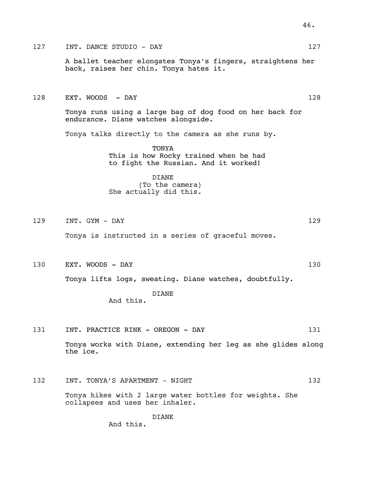# 127 INT. DANCE STUDIO - DAY 127

A ballet teacher elongates Tonya's fingers, straightens her back, raises her chin. Tonya hates it.

### 128 EXT. WOODS - DAY 128

Tonya runs using a large bag of dog food on her back for endurance. Diane watches alongside.

Tonya talks directly to the camera as she runs by.

TONYA This is how Rocky trained when he had to fight the Russian. And it worked!

## DIANE

(To the camera) She actually did this.

129 INT. GYM - DAY 129

Tonya is instructed in a series of graceful moves.

130 EXT. WOODS - DAY 130

Tonya lifts logs, sweating. Diane watches, doubtfully.

DIANE And this.

131 INT. PRACTICE RINK - OREGON - DAY 131

Tonya works with Diane, extending her leg as she glides along the ice.

132 INT. TONYA'S APARTMENT - NIGHT 132

Tonya hikes with 2 large water bottles for weights. She collapses and uses her inhaler.

> DIANE And this.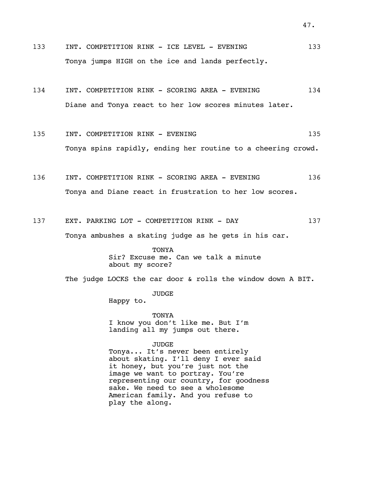- 133 INT. COMPETITION RINK ICE LEVEL EVENING 133 Tonya jumps HIGH on the ice and lands perfectly.
- 134 INT. COMPETITION RINK SCORING AREA EVENING 134 Diane and Tonya react to her low scores minutes later.
- 135 INT. COMPETITION RINK EVENING 135 Tonya spins rapidly, ending her routine to a cheering crowd.
- 136 INT. COMPETITION RINK SCORING AREA EVENING 136 Tonya and Diane react in frustration to her low scores.
- 137 EXT. PARKING LOT COMPETITION RINK DAY 137

Tonya ambushes a skating judge as he gets in his car.

TONYA Sir? Excuse me. Can we talk a minute about my score?

The judge LOCKS the car door & rolls the window down A BIT.

JUDGE

Happy to.

TONYA I know you don't like me. But I'm landing all my jumps out there.

JUDGE

Tonya... It's never been entirely about skating. I'll deny I ever said it honey, but you're just not the image we want to portray. You're representing our country, for goodness sake. We need to see a wholesome American family. And you refuse to play the along.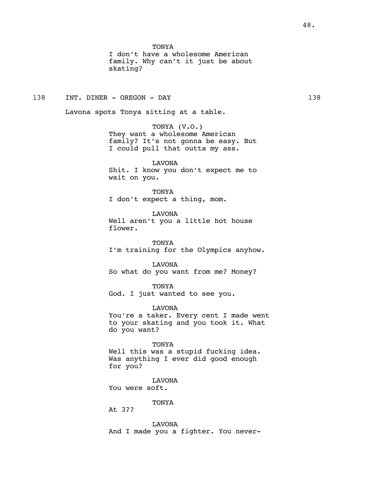I don't have a wholesome American family. Why can't it just be about skating?

# 138 INT. DINER - OREGON - DAY 138

Lavona spots Tonya sitting at a table.

TONYA (V.O.) They want a wholesome American family? It's not gonna be easy. But I could pull that outta my ass.

LAVONA Shit. I know you don't expect me to wait on you.

TONYA I don't expect a thing, mom.

LAVONA Well aren't you a little hot house flower.

TONYA I'm training for the Olympics anyhow.

LAVONA So what do you want from me? Money?

TONYA God. I just wanted to see you.

LAVONA

You're a taker. Every cent I made went to your skating and you took it. What do you want?

TONYA

Well this was a stupid fucking idea. Was anything I ever did good enough for you?

LAVONA You were soft.

TONYA

At 3??

LAVONA And I made you a fighter. You never-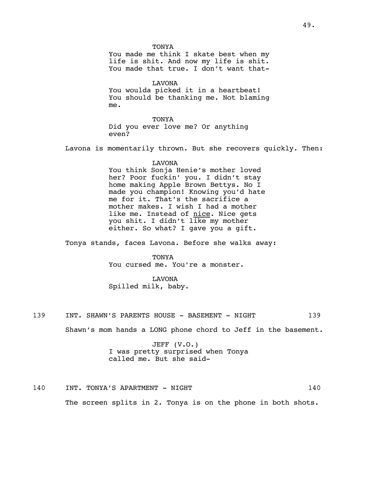**TONYA** You made me think I skate best when my life is shit. And now my life is shit. You made that true. I don't want that-LAVONA You woulda picked it in a heartbeat! You should be thanking me. Not blaming me. TONYA Did you ever love me? Or anything even? Lavona is momentarily thrown. But she recovers quickly. Then: LAVONA You think Sonja Henie's mother loved her? Poor fuckin' you. I didn't stay home making Apple Brown Bettys. No I made you champion! Knowing you'd hate me for it. That's the sacrifice a mother makes. I wish I had a mother like me. Instead of nice. Nice gets you shit. I didn't like my mother either. So what? I gave you a gift. Tonya stands, faces Lavona. Before she walks away: TONYA You cursed me. You're a monster. LAVONA Spilled milk, baby. 139 INT. SHAWN'S PARENTS HOUSE - BASEMENT - NIGHT 139 Shawn's mom hands a LONG phone chord to Jeff in the basement.

JEFF (V.O.) I was pretty surprised when Tonya called me. But she said-

140 INT. TONYA'S APARTMENT - NIGHT 140

The screen splits in 2. Tonya is on the phone in both shots.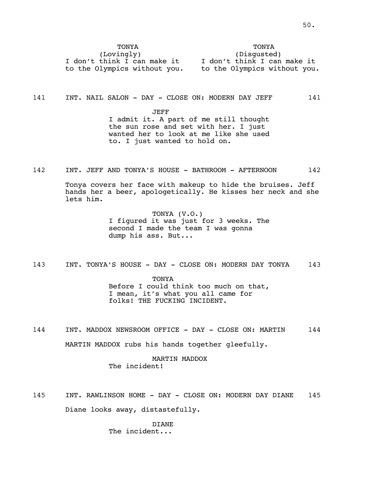| TONYA                        | TONYA                        |
|------------------------------|------------------------------|
| (Lovingly)                   | (Disqusted)                  |
| I don't think I can make it  | I don't think I can make it  |
| to the Olympics without you. | to the Olympics without you. |

141 INT. NAIL SALON - DAY - CLOSE ON: MODERN DAY JEFF 141

JEFF I admit it. A part of me still thought the sun rose and set with her. I just wanted her to look at me like she used to. I just wanted to hold on.

142 INT. JEFF AND TONYA'S HOUSE - BATHROOM - AFTERNOON 142

Tonya covers her face with makeup to hide the bruises. Jeff hands her a beer, apologetically. He kisses her neck and she lets him.

> TONYA (V.O.) I figured it was just for 3 weeks. The second I made the team I was gonna dump his ass. But...

143 INT. TONYA'S HOUSE - DAY - CLOSE ON: MODERN DAY TONYA 143

TONYA Before I could think too much on that, I mean, it's what you all came for folks! THE FUCKING INCIDENT.

144 INT. MADDOX NEWSROOM OFFICE - DAY - CLOSE ON: MARTIN 144 MARTIN MADDOX rubs his hands together gleefully.

> MARTIN MADDOX The incident!

145 INT. RAWLINSON HOME - DAY - CLOSE ON: MODERN DAY DIANE 145 Diane looks away, distastefully.

> DIANE The incident...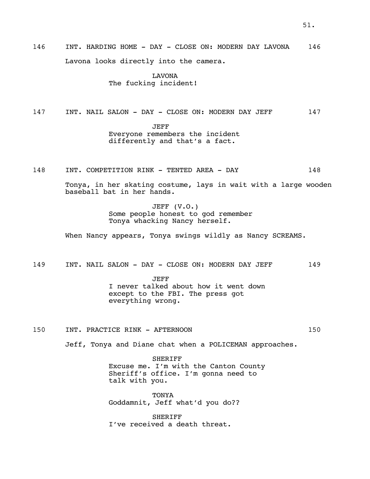146 INT. HARDING HOME - DAY - CLOSE ON: MODERN DAY LAVONA 146 Lavona looks directly into the camera.

> LAVONA The fucking incident!

147 INT. NAIL SALON - DAY - CLOSE ON: MODERN DAY JEFF 147

JEFF Everyone remembers the incident differently and that's a fact.

148 INT. COMPETITION RINK - TENTED AREA - DAY 148

Tonya, in her skating costume, lays in wait with a large wooden baseball bat in her hands.

> JEFF (V.O.) Some people honest to god remember Tonya whacking Nancy herself.

When Nancy appears, Tonya swings wildly as Nancy SCREAMS.

149 INT. NAIL SALON - DAY - CLOSE ON: MODERN DAY JEFF 149

JEFF I never talked about how it went down except to the FBI. The press got everything wrong.

150 INT. PRACTICE RINK - AFTERNOON 150

Jeff, Tonya and Diane chat when a POLICEMAN approaches.

SHERIFF Excuse me. I'm with the Canton County Sheriff's office. I'm gonna need to talk with you.

**TONYA** Goddamnit, Jeff what'd you do??

**SHERIFF** I've received a death threat.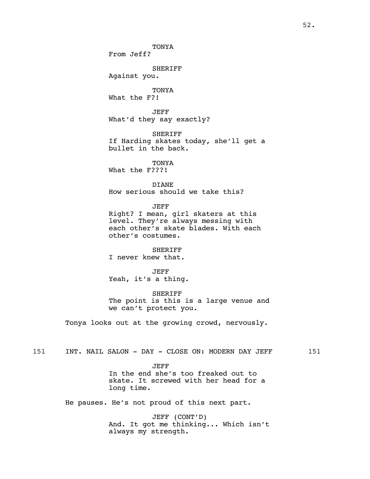TONYA From Jeff? SHERIFF Against you. TONYA What the F?! JEFF What'd they say exactly? SHERIFF If Harding skates today, she'll get a bullet in the back. TONYA What the F???! DIANE How serious should we take this? JEFF Right? I mean, girl skaters at this level. They're always messing with each other's skate blades. With each other's costumes. SHERIFF I never knew that. JEFF Yeah, it's a thing. SHERIFF The point is this is a large venue and we can't protect you. Tonya looks out at the growing crowd, nervously. 151 INT. NAIL SALON - DAY - CLOSE ON: MODERN DAY JEFF 151

JEFF In the end she's too freaked out to skate. It screwed with her head for a long time.

He pauses. He's not proud of this next part.

JEFF (CONT'D) And. It got me thinking... Which isn't always my strength.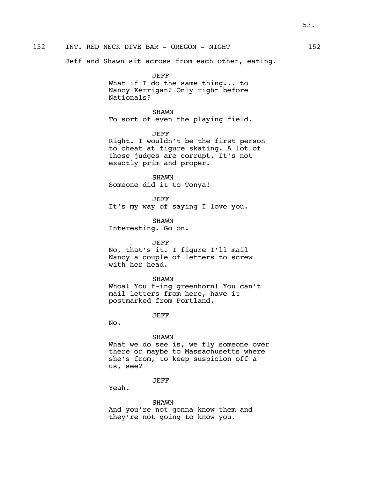Jeff and Shawn sit across from each other, eating.

JEFF What if I do the same thing... to Nancy Kerrigan? Only right before Nationals?

SHAWN To sort of even the playing field.

JEFF Right. I wouldn't be the first person to cheat at figure skating. A lot of those judges are corrupt. It's not exactly prim and proper.

SHAWN Someone did it to Tonya!

JEFF It's my way of saying I love you.

SHAWN Interesting. Go on.

### JEFF

No, that's it. I figure I'll mail Nancy a couple of letters to screw with her head.

#### SHAWN

Whoa! You f-ing greenhorn! You can't mail letters from here, have it postmarked from Portland.

JEFF

No.

#### SHAWN

What we do see is, we fly someone over there or maybe to Massachusetts where she's from, to keep suspicion off a us, see?

# JEFF

Yeah.

### SHAWN

And you're not gonna know them and they're not going to know you.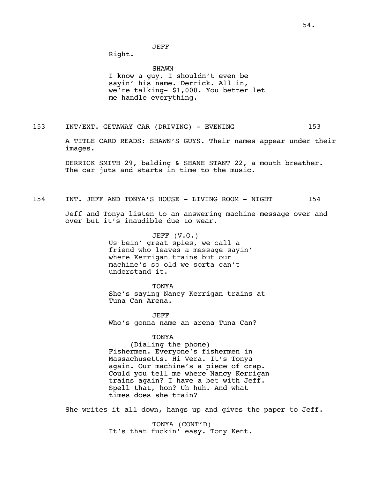JEFF

Right.

SHAWN I know a guy. I shouldn't even be sayin' his name. Derrick. All in, we're talking- \$1,000. You better let me handle everything.

153 INT/EXT. GETAWAY CAR (DRIVING) - EVENING 153

A TITLE CARD READS: SHAWN'S GUYS. Their names appear under their images.

DERRICK SMITH 29, balding & SHANE STANT 22, a mouth breather. The car juts and starts in time to the music.

154 INT. JEFF AND TONYA'S HOUSE - LIVING ROOM - NIGHT 154

Jeff and Tonya listen to an answering machine message over and over but it's inaudible due to wear.

> JEFF (V.O.) Us bein' great spies, we call a friend who leaves a message sayin' where Kerrigan trains but our machine's so old we sorta can't understand it.

**TONYA** She's saying Nancy Kerrigan trains at Tuna Can Arena.

JEFF Who's gonna name an arena Tuna Can?

TONYA

(Dialing the phone) Fishermen. Everyone's fishermen in Massachusetts. Hi Vera. It's Tonya again. Our machine's a piece of crap. Could you tell me where Nancy Kerrigan trains again? I have a bet with Jeff. Spell that, hon? Uh huh. And what times does she train?

She writes it all down, hangs up and gives the paper to Jeff.

TONYA (CONT'D) It's that fuckin' easy. Tony Kent.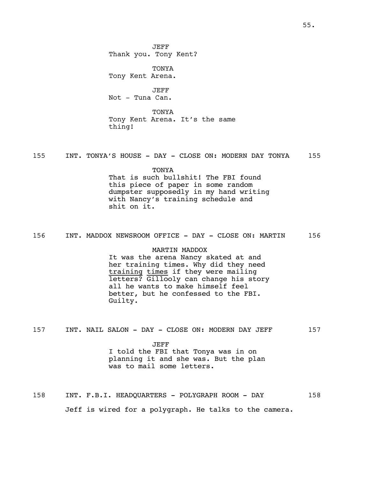JEFF Thank you. Tony Kent?

TONYA Tony Kent Arena.

JEFF Not - Tuna Can.

**TONYA** Tony Kent Arena. It's the same thing!

155 INT. TONYA'S HOUSE - DAY - CLOSE ON: MODERN DAY TONYA 155

TONYA That is such bullshit! The FBI found this piece of paper in some random dumpster supposedly in my hand writing with Nancy's training schedule and shit on it.

156 INT. MADDOX NEWSROOM OFFICE - DAY - CLOSE ON: MARTIN 156

MARTIN MADDOX It was the arena Nancy skated at and her training times. Why did they need training times if they were mailing letters? Gillooly can change his story all he wants to make himself feel better, but he confessed to the FBI. Guilty.

157 INT. NAIL SALON - DAY - CLOSE ON: MODERN DAY JEFF 157

JEFF I told the FBI that Tonya was in on planning it and she was. But the plan was to mail some letters.

158 INT. F.B.I. HEADQUARTERS - POLYGRAPH ROOM - DAY 158 Jeff is wired for a polygraph. He talks to the camera.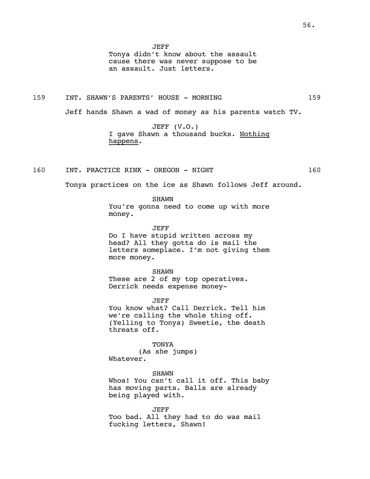Tonya didn't know about the assault cause there was never suppose to be an assault. Just letters.

159 INT. SHAWN'S PARENTS' HOUSE - MORNING 159

Jeff hands Shawn a wad of money as his parents watch TV.

JEFF (V.O.) I gave Shawn a thousand bucks. Nothing happens.

160 INT. PRACTICE RINK - OREGON - NIGHT 160

Tonya practices on the ice as Shawn follows Jeff around.

SHAWN You're gonna need to come up with more money.

JEFF Do I have stupid written across my head? All they gotta do is mail the letters someplace. I'm not giving them more money.

SHAWN These are 2 of my top operatives. Derrick needs expense money-

JEFF You know what? Call Derrick. Tell him we're calling the whole thing off. (Yelling to Tonya) Sweetie, the death threats off.

TONYA (As she jumps) Whatever.

SHAWN Whoa! You can't call it off. This baby has moving parts. Balls are already being played with.

JEFF Too bad. All they had to do was mail fucking letters, Shawn!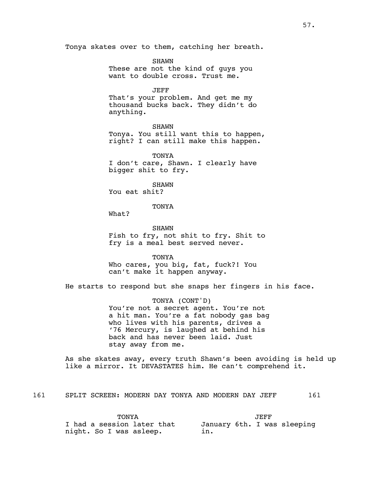Tonya skates over to them, catching her breath.

SHAWN These are not the kind of guys you want to double cross. Trust me.

JEFF That's your problem. And get me my thousand bucks back. They didn't do anything.

SHAWN

Tonya. You still want this to happen, right? I can still make this happen.

**TONYA** I don't care, Shawn. I clearly have bigger shit to fry.

SHAWN You eat shit?

**TONYA** 

What?

SHAWN Fish to fry, not shit to fry. Shit to fry is a meal best served never.

TONYA Who cares, you big, fat, fuck?! You can't make it happen anyway.

He starts to respond but she snaps her fingers in his face.

TONYA (CONT'D) You're not a secret agent. You're not a hit man. You're a fat nobody gas bag who lives with his parents, drives a '76 Mercury, is laughed at behind his back and has never been laid. Just stay away from me.

As she skates away, every truth Shawn's been avoiding is held up like a mirror. It DEVASTATES him. He can't comprehend it.

161 SPLIT SCREEN: MODERN DAY TONYA AND MODERN DAY JEFF 161

**TONYA** I had a session later that night. So I was asleep.

JEFF January 6th. I was sleeping in.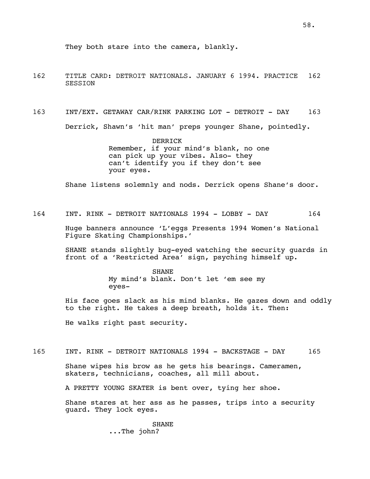- 162 TITLE CARD: DETROIT NATIONALS. JANUARY 6 1994. PRACTICE 162 SESSION
- 163 INT/EXT. GETAWAY CAR/RINK PARKING LOT DETROIT DAY 163 Derrick, Shawn's 'hit man' preps younger Shane, pointedly.

DERRICK Remember, if your mind's blank, no one can pick up your vibes. Also- they can't identify you if they don't see your eyes.

Shane listens solemnly and nods. Derrick opens Shane's door.

164 INT. RINK - DETROIT NATIONALS 1994 - LOBBY - DAY 164

Huge banners announce 'L'eggs Presents 1994 Women's National Figure Skating Championships.'

SHANE stands slightly bug-eyed watching the security guards in front of a 'Restricted Area' sign, psyching himself up.

> **SHANE** My mind's blank. Don't let 'em see my eyes-

His face goes slack as his mind blanks. He gazes down and oddly to the right. He takes a deep breath, holds it. Then:

He walks right past security.

165 INT. RINK - DETROIT NATIONALS 1994 - BACKSTAGE - DAY 165

Shane wipes his brow as he gets his bearings. Cameramen, skaters, technicians, coaches, all mill about.

A PRETTY YOUNG SKATER is bent over, tying her shoe.

Shane stares at her ass as he passes, trips into a security guard. They lock eyes.

> SHANE ...The john?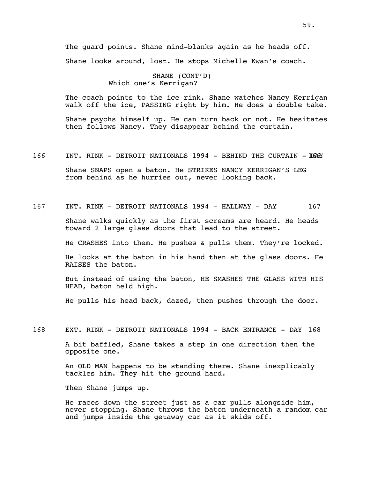The guard points. Shane mind-blanks again as he heads off. Shane looks around, lost. He stops Michelle Kwan's coach.

> SHANE (CONT'D) Which one's Kerrigan?

The coach points to the ice rink. Shane watches Nancy Kerrigan walk off the ice, PASSING right by him. He does a double take.

Shane psychs himself up. He can turn back or not. He hesitates then follows Nancy. They disappear behind the curtain.

166 INT. RINK - DETROIT NATIONALS 1994 - BEHIND THE CURTAIN - 1066Y

Shane SNAPS open a baton. He STRIKES NANCY KERRIGAN'S LEG from behind as he hurries out, never looking back.

167 INT. RINK - DETROIT NATIONALS 1994 - HALLWAY - DAY 167

Shane walks quickly as the first screams are heard. He heads toward 2 large glass doors that lead to the street.

He CRASHES into them. He pushes & pulls them. They're locked.

He looks at the baton in his hand then at the glass doors. He RAISES the baton.

But instead of using the baton, HE SMASHES THE GLASS WITH HIS HEAD, baton held high.

He pulls his head back, dazed, then pushes through the door.

168 EXT. RINK - DETROIT NATIONALS 1994 - BACK ENTRANCE - DAY 168

A bit baffled, Shane takes a step in one direction then the opposite one.

An OLD MAN happens to be standing there. Shane inexplicably tackles him. They hit the ground hard.

Then Shane jumps up.

He races down the street just as a car pulls alongside him, never stopping. Shane throws the baton underneath a random car and jumps inside the getaway car as it skids off.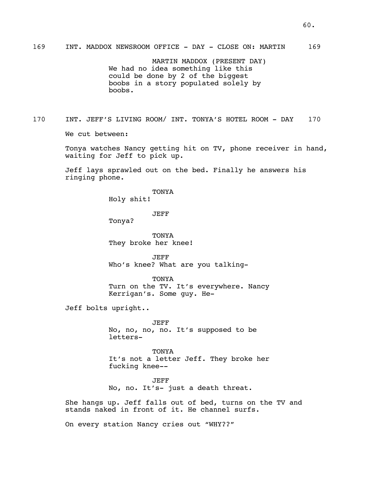MARTIN MADDOX (PRESENT DAY) We had no idea something like this could be done by 2 of the biggest boobs in a story populated solely by boobs.

170 INT. JEFF'S LIVING ROOM/ INT. TONYA'S HOTEL ROOM - DAY 170 We cut between:

> Tonya watches Nancy getting hit on TV, phone receiver in hand, waiting for Jeff to pick up.

Jeff lays sprawled out on the bed. Finally he answers his ringing phone.

TONYA

Holy shit!

JEFF

Tonya?

TONYA They broke her knee!

JEFF Who's knee? What are you talking-

TONYA Turn on the TV. It's everywhere. Nancy Kerrigan's. Some guy. He-

Jeff bolts upright..

JEFF No, no, no, no. It's supposed to be letters-

TONYA It's not a letter Jeff. They broke her fucking knee--

JEFF No, no. It's- just a death threat.

She hangs up. Jeff falls out of bed, turns on the TV and stands naked in front of it. He channel surfs.

On every station Nancy cries out "WHY??"

60.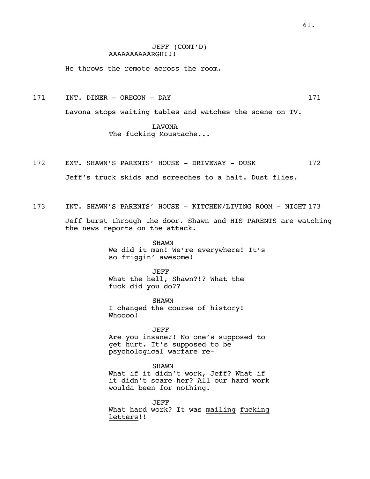# JEFF (CONT'D) AAAAAAAAAARGH!!!

He throws the remote across the room.

171 INT. DINER – OREGON – DAY 171

Lavona stops waiting tables and watches the scene on TV.

LAVONA The fucking Moustache...

172 EXT. SHAWN'S PARENTS' HOUSE - DRIVEWAY - DUSK 172

Jeff's truck skids and screeches to a halt. Dust flies.

173 INT. SHAWN'S PARENTS' HOUSE - KITCHEN/LIVING ROOM - NIGHT 173

Jeff burst through the door. Shawn and HIS PARENTS are watching the news reports on the attack.

> SHAWN We did it man! We're everywhere! It's so friggin' awesome!

JEFF What the hell, Shawn?!? What the fuck did you do??

SHAWN I changed the course of history! Whoooo!

JEFF Are you insane?! No one's supposed to get hurt. It's supposed to be psychological warfare re-

SHAWN What if it didn't work, Jeff? What if it didn't scare her? All our hard work woulda been for nothing.

JEFF What hard work? It was mailing fucking letters!!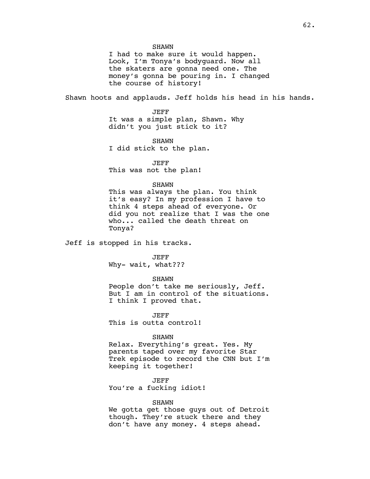I had to make sure it would happen. Look, I'm Tonya's bodyguard. Now all the skaters are gonna need one. The money's gonna be pouring in. I changed the course of history!

Shawn hoots and applauds. Jeff holds his head in his hands.

JEFF It was a simple plan, Shawn. Why didn't you just stick to it?

SHAWN I did stick to the plan.

JEFF This was not the plan!

# SHAWN

This was always the plan. You think it's easy? In my profession I have to think 4 steps ahead of everyone. Or did you not realize that I was the one who... called the death threat on Tonya?

Jeff is stopped in his tracks.

JEFF

Why- wait, what???

#### SHAWN

People don't take me seriously, Jeff. But I am in control of the situations. I think I proved that.

JEFF This is outta control!

### SHAWN

Relax. Everything's great. Yes. My parents taped over my favorite Star Trek episode to record the CNN but I'm keeping it together!

JEFF

You're a fucking idiot!

## SHAWN

We gotta get those guys out of Detroit though. They're stuck there and they don't have any money. 4 steps ahead.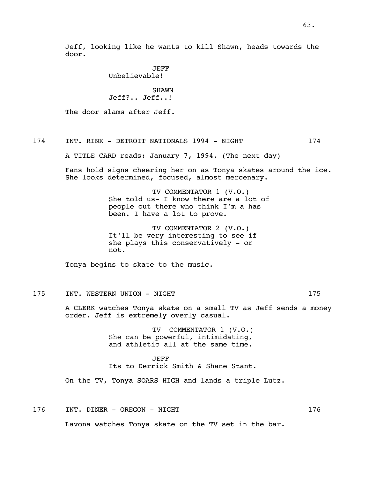Jeff, looking like he wants to kill Shawn, heads towards the door.

> JEFF Unbelievable!

SHAWN Jeff?.. Jeff..!

The door slams after Jeff.

# 174 INT. RINK - DETROIT NATIONALS 1994 - NIGHT 174

A TITLE CARD reads: January 7, 1994. (The next day)

Fans hold signs cheering her on as Tonya skates around the ice. She looks determined, focused, almost mercenary.

> TV COMMENTATOR 1 (V.O.) She told us- I know there are a lot of people out there who think I'm a has been. I have a lot to prove.

TV COMMENTATOR 2 (V.O.) It'll be very interesting to see if she plays this conservatively - or not.

Tonya begins to skate to the music.

# 175 INT. WESTERN UNION - NIGHT 175

A CLERK watches Tonya skate on a small TV as Jeff sends a money order. Jeff is extremely overly casual.

> TV COMMENTATOR 1 (V.O.) She can be powerful, intimidating, and athletic all at the same time.

JEFF Its to Derrick Smith & Shane Stant.

On the TV, Tonya SOARS HIGH and lands a triple Lutz.

176 INT. DINER - OREGON - NIGHT 176 176

Lavona watches Tonya skate on the TV set in the bar.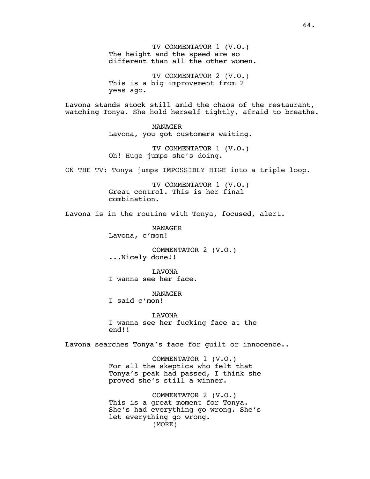TV COMMENTATOR 1 (V.O.) The height and the speed are so different than all the other women.

TV COMMENTATOR 2 (V.O.) This is a big improvement from 2 yeas ago.

Lavona stands stock still amid the chaos of the restaurant, watching Tonya. She hold herself tightly, afraid to breathe.

> MANAGER Lavona, you got customers waiting.

TV COMMENTATOR 1 (V.O.) Oh! Huge jumps she's doing.

ON THE TV: Tonya jumps IMPOSSIBLY HIGH into a triple loop.

TV COMMENTATOR 1 (V.O.) Great control. This is her final combination.

Lavona is in the routine with Tonya, focused, alert.

MANAGER Lavona, c'mon!

COMMENTATOR 2 (V.O.) ...Nicely done!!

LAVONA I wanna see her face.

MANAGER

I said c'mon!

LAVONA I wanna see her fucking face at the end!!

Lavona searches Tonya's face for guilt or innocence..

COMMENTATOR 1 (V.O.) For all the skeptics who felt that Tonya's peak had passed, I think she proved she's still a winner.

COMMENTATOR 2 (V.O.) This is a great moment for Tonya. She's had everything go wrong. She's let everything go wrong. (MORE)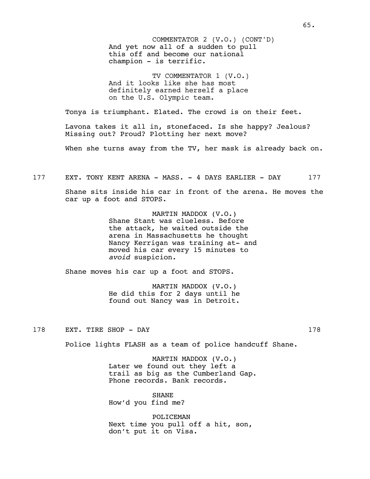And yet now all of a sudden to pull this off and become our national champion - is terrific. COMMENTATOR 2 (V.O.) (CONT'D)

TV COMMENTATOR 1 (V.O.) And it looks like she has most definitely earned herself a place on the U.S. Olympic team.

Tonya is triumphant. Elated. The crowd is on their feet.

Lavona takes it all in, stonefaced. Is she happy? Jealous? Missing out? Proud? Plotting her next move?

When she turns away from the TV, her mask is already back on.

177 EXT. TONY KENT ARENA - MASS. - 4 DAYS EARLIER - DAY 177

Shane sits inside his car in front of the arena. He moves the car up a foot and STOPS.

> MARTIN MADDOX (V.O.) Shane Stant was clueless. Before the attack, he waited outside the arena in Massachusetts he thought Nancy Kerrigan was training at- and moved his car every 15 minutes to *avoid* suspicion.

Shane moves his car up a foot and STOPS.

MARTIN MADDOX (V.O.) He did this for 2 days until he found out Nancy was in Detroit.

178 EXT. TIRE SHOP - DAY 178

Police lights FLASH as a team of police handcuff Shane.

MARTIN MADDOX (V.O.) Later we found out they left a trail as big as the Cumberland Gap. Phone records. Bank records.

SHANE How'd you find me?

POLICEMAN Next time you pull off a hit, son, don't put it on Visa.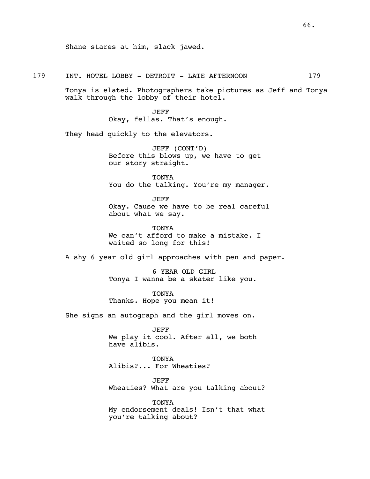Shane stares at him, slack jawed.

### 179 INT. HOTEL LOBBY - DETROIT - LATE AFTERNOON 179

Tonya is elated. Photographers take pictures as Jeff and Tonya walk through the lobby of their hotel.

> JEFF Okay, fellas. That's enough.

They head quickly to the elevators.

JEFF (CONT'D) Before this blows up, we have to get our story straight.

TONYA You do the talking. You're my manager.

JEFF Okay. Cause we have to be real careful about what we say.

TONYA We can't afford to make a mistake. I waited so long for this!

A shy 6 year old girl approaches with pen and paper.

6 YEAR OLD GIRL Tonya I wanna be a skater like you.

TONYA Thanks. Hope you mean it!

She signs an autograph and the girl moves on.

JEFF We play it cool. After all, we both have alibis.

TONYA Alibis?... For Wheaties?

JEFF Wheaties? What are you talking about?

TONYA My endorsement deals! Isn't that what you're talking about?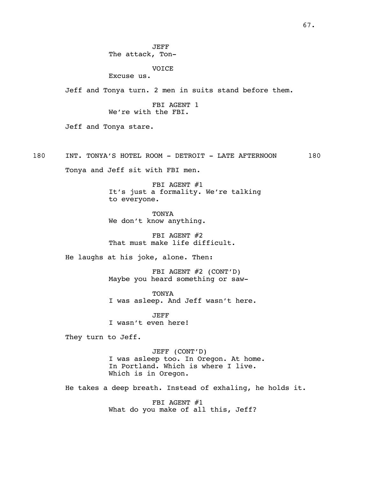JEFF The attack, Ton-

VOICE

Excuse us.

Jeff and Tonya turn. 2 men in suits stand before them.

FBI AGENT 1 We're with the FBI.

Jeff and Tonya stare.

180 INT. TONYA'S HOTEL ROOM - DETROIT - LATE AFTERNOON 180

Tonya and Jeff sit with FBI men.

FBI AGENT #1 It's just a formality. We're talking to everyone.

TONYA We don't know anything.

FBI AGENT #2 That must make life difficult.

He laughs at his joke, alone. Then:

FBI AGENT #2 (CONT'D) Maybe you heard something or saw-

TONYA I was asleep. And Jeff wasn't here.

JEFF I wasn't even here!

They turn to Jeff.

JEFF (CONT'D) I was asleep too. In Oregon. At home. In Portland. Which is where I live. Which is in Oregon.

He takes a deep breath. Instead of exhaling, he holds it.

FBI AGENT #1 What do you make of all this, Jeff?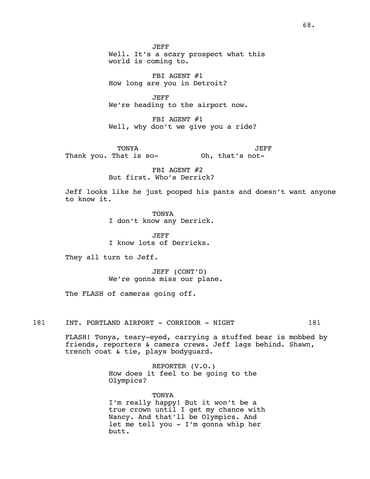JEFF Well. It's a scary prospect what this world is coming to.

FBI AGENT #1 How long are you in Detroit?

JEFF We're heading to the airport now.

FBI AGENT #1 Well, why don't we give you a ride?

TONYA Thank you. That is so-Oh, that's not-JEFF

> FBI AGENT #2 But first. Who's Derrick?

Jeff looks like he just pooped his pants and doesn't want anyone to know it.

> TONYA I don't know any Derrick.

JEFF I know lots of Derricks.

They all turn to Jeff.

JEFF (CONT'D) We're gonna miss our plane.

The FLASH of cameras going off.

181 INT. PORTLAND AIRPORT - CORRIDOR - NIGHT 181

FLASH! Tonya, teary-eyed, carrying a stuffed bear is mobbed by friends, reporters & camera crews. Jeff lags behind. Shawn, trench coat & tie, plays bodyguard.

> REPORTER (V.O.) How does it feel to be going to the Olympics?

**TONYA** I'm really happy! But it won't be a true crown until I get my chance with Nancy. And that'll be Olympics. And let me tell you - I'm gonna whip her butt.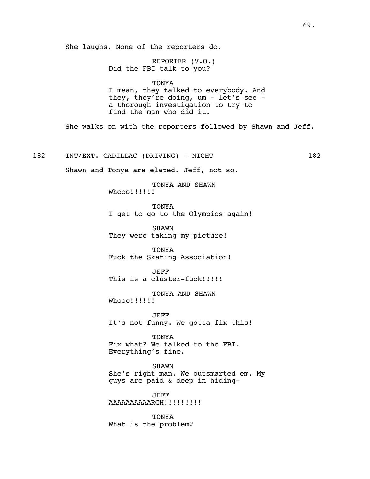She laughs. None of the reporters do.

REPORTER (V.O.) Did the FBI talk to you?

## TONYA

I mean, they talked to everybody. And they, they're doing,  $um - let's see$ a thorough investigation to try to find the man who did it.

She walks on with the reporters followed by Shawn and Jeff.

182 INT/EXT. CADILLAC (DRIVING) - NIGHT 182

Shawn and Tonya are elated. Jeff, not so.

TONYA AND SHAWN Whooo!!!!!!!

**TONYA** I get to go to the Olympics again!

SHAWN They were taking my picture!

TONYA Fuck the Skating Association!

JEFF This is a cluster-fuck!!!!!

TONYA AND SHAWN Whooo!!!!!!!

JEFF It's not funny. We gotta fix this!

TONYA Fix what? We talked to the FBI. Everything's fine.

SHAWN She's right man. We outsmarted em. My guys are paid & deep in hiding-

JEFF AAAAAAAAARGH!!!!!!!!!

TONYA What is the problem?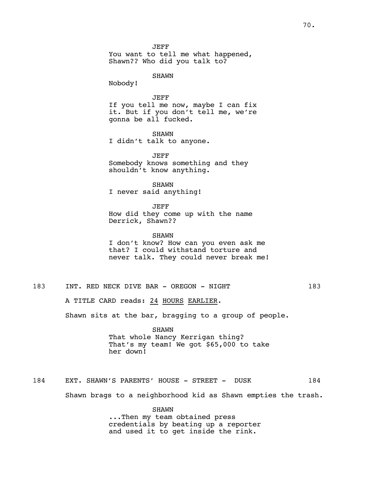JEFF You want to tell me what happened, Shawn?? Who did you talk to?

SHAWN

Nobody!

## JEFF

If you tell me now, maybe I can fix it. But if you don't tell me, we're gonna be all fucked.

SHAWN I didn't talk to anyone.

JEFF Somebody knows something and they shouldn't know anything.

SHAWN I never said anything!

JEFF How did they come up with the name Derrick, Shawn??

SHAWN I don't know? How can you even ask me that? I could withstand torture and never talk. They could never break me!

183 INT. RED NECK DIVE BAR - OREGON - NIGHT 183

A TITLE CARD reads: 24 HOURS EARLIER.

Shawn sits at the bar, bragging to a group of people.

SHAWN That whole Nancy Kerrigan thing? That's my team! We got \$65,000 to take her down!

184 EXT. SHAWN'S PARENTS' HOUSE - STREET - DUSK 184 Shawn brags to a neighborhood kid as Shawn empties the trash.

> SHAWN ...Then my team obtained press credentials by beating up a reporter and used it to get inside the rink.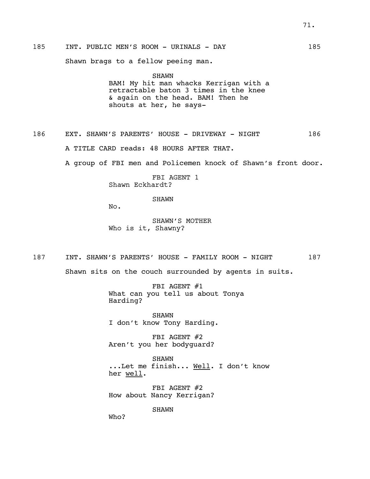Shawn brags to a fellow peeing man.

SHAWN BAM! My hit man whacks Kerrigan with a retractable baton 3 times in the knee & again on the head. BAM! Then he shouts at her, he says-

186 EXT. SHAWN'S PARENTS' HOUSE - DRIVEWAY - NIGHT 186 A TITLE CARD reads: 48 HOURS AFTER THAT.

A group of FBI men and Policemen knock of Shawn's front door.

FBI AGENT 1 Shawn Eckhardt?

SHAWN

No.

SHAWN'S MOTHER Who is it, Shawny?

187 INT. SHAWN'S PARENTS' HOUSE - FAMILY ROOM - NIGHT 187

Shawn sits on the couch surrounded by agents in suits.

FBI AGENT #1 What can you tell us about Tonya Harding?

SHAWN I don't know Tony Harding.

FBI AGENT #2 Aren't you her bodyguard?

SHAWN ...Let me finish... Well. I don't know her well.

FBI AGENT #2 How about Nancy Kerrigan?

SHAWN

Who?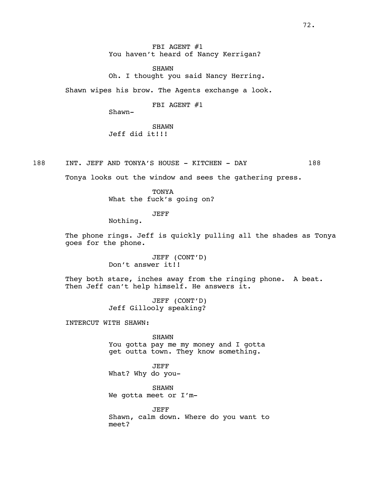FBI AGENT #1 You haven't heard of Nancy Kerrigan?

SHAWN Oh. I thought you said Nancy Herring.

Shawn wipes his brow. The Agents exchange a look.

FBI AGENT #1

Shawn-

SHAWN Jeff did it!!!

188 INT. JEFF AND TONYA'S HOUSE - KITCHEN - DAY 188

Tonya looks out the window and sees the gathering press.

**TONYA** What the fuck's going on?

JEFF

Nothing.

The phone rings. Jeff is quickly pulling all the shades as Tonya goes for the phone.

> JEFF (CONT'D) Don't answer it!!

They both stare, inches away from the ringing phone. A beat. Then Jeff can't help himself. He answers it.

> JEFF (CONT'D) Jeff Gillooly speaking?

INTERCUT WITH SHAWN:

SHAWN You gotta pay me my money and I gotta get outta town. They know something.

JEFF What? Why do you-

SHAWN We gotta meet or I'm-

JEFF Shawn, calm down. Where do you want to meet?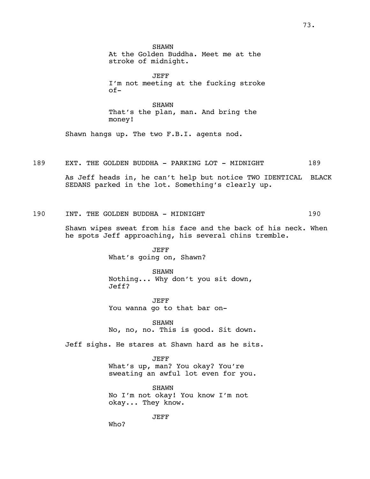**SHAWN** At the Golden Buddha. Meet me at the stroke of midnight.

JEFF I'm not meeting at the fucking stroke of-

SHAWN That's the plan, man. And bring the money!

Shawn hangs up. The two F.B.I. agents nod.

189 EXT. THE GOLDEN BUDDHA - PARKING LOT - MIDNIGHT 189

As Jeff heads in, he can't help but notice TWO IDENTICAL BLACK SEDANS parked in the lot. Something's clearly up.

190 INT. THE GOLDEN BUDDHA - MIDNIGHT 190

Shawn wipes sweat from his face and the back of his neck. When he spots Jeff approaching, his several chins tremble.

> JEFF What's going on, Shawn?

SHAWN Nothing... Why don't you sit down, Jeff?

JEFF You wanna go to that bar on-

SHAWN No, no, no. This is good. Sit down.

Jeff sighs. He stares at Shawn hard as he sits.

JEFF What's up, man? You okay? You're sweating an awful lot even for you.

SHAWN No I'm not okay! You know I'm not okay... They know.

JEFF

Who?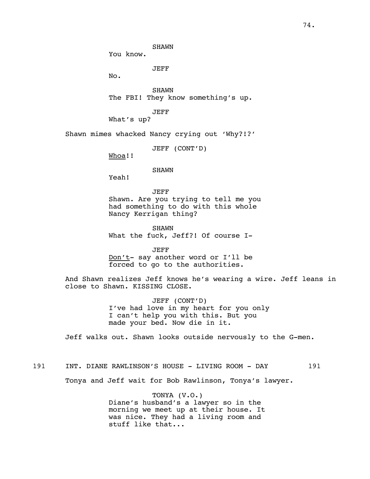You know.

JEFF

No.

SHAWN The FBI! They know something's up.

JEFF

What's up?

Shawn mimes whacked Nancy crying out 'Why?!?'

JEFF (CONT'D)

Whoa!!

SHAWN

Yeah!

JEFF Shawn. Are you trying to tell me you had something to do with this whole Nancy Kerrigan thing?

SHAWN What the fuck, Jeff?! Of course I-

JEFF Don't- say another word or I'll be forced to go to the authorities.

And Shawn realizes Jeff knows he's wearing a wire. Jeff leans in close to Shawn. KISSING CLOSE.

> JEFF (CONT'D) I've had love in my heart for you only I can't help you with this. But you made your bed. Now die in it.

Jeff walks out. Shawn looks outside nervously to the G-men.

# 191 INT. DIANE RAWLINSON'S HOUSE - LIVING ROOM - DAY 191

Tonya and Jeff wait for Bob Rawlinson, Tonya's lawyer.

TONYA (V.O.) Diane's husband's a lawyer so in the morning we meet up at their house. It was nice. They had a living room and stuff like that...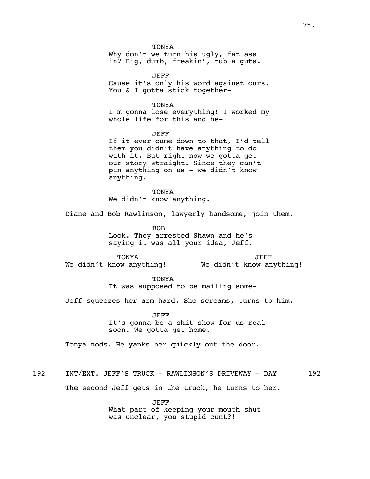**TONYA** Why don't we turn his ugly, fat ass in? Big, dumb, freakin', tub a guts.

JEFF Cause it's only his word against ours. You & I gotta stick together-

TONYA I'm gonna lose everything! I worked my whole life for this and he-

JEFF If it ever came down to that, I'd tell them you didn't have anything to do with it. But right now we gotta get our story straight. Since they can't pin anything on us - we didn't know anything.

**TONYA** We didn't know anything.

Diane and Bob Rawlinson, lawyerly handsome, join them.

BOB Look. They arrested Shawn and he's saying it was all your idea, Jeff.

TONYA We didn't know anything!

JEFF We didn't know anything!

TONYA It was supposed to be mailing some-

Jeff squeezes her arm hard. She screams, turns to him.

JEFF It's gonna be a shit show for us real soon. We gotta get home.

Tonya nods. He yanks her quickly out the door.

192 INT/EXT. JEFF'S TRUCK - RAWLINSON'S DRIVEWAY - DAY 192

The second Jeff gets in the truck, he turns to her.

JEFF What part of keeping your mouth shut was unclear, you stupid cunt?!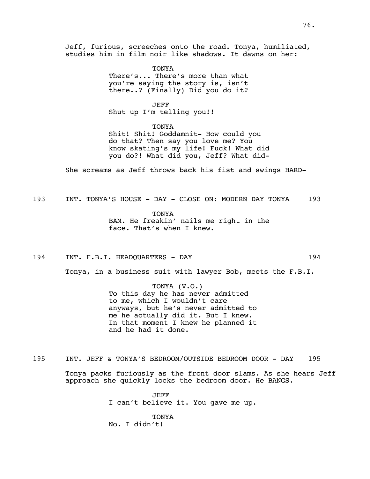Jeff, furious, screeches onto the road. Tonya, humiliated, studies him in film noir like shadows. It dawns on her:

> TONYA There's... There's more than what you're saying the story is, isn't there..? (Finally) Did you do it?

JEFF Shut up I'm telling you!!

TONYA

Shit! Shit! Goddamnit- How could you do that? Then say you love me? You know skating's my life! Fuck! What did you do?! What did you, Jeff? What did-

She screams as Jeff throws back his fist and swings HARD-

193 INT. TONYA'S HOUSE - DAY - CLOSE ON: MODERN DAY TONYA 193

TONYA BAM. He freakin' nails me right in the face. That's when I knew.

194 INT. F.B.I. HEADQUARTERS - DAY 194

Tonya, in a business suit with lawyer Bob, meets the F.B.I.

TONYA (V.O.) To this day he has never admitted to me, which I wouldn't care anyways, but he's never admitted to me he actually did it. But I knew. In that moment I knew he planned it and he had it done.

195 INT. JEFF & TONYA'S BEDROOM/OUTSIDE BEDROOM DOOR - DAY 195

Tonya packs furiously as the front door slams. As she hears Jeff approach she quickly locks the bedroom door. He BANGS.

> JEFF I can't believe it. You gave me up.

TONYA No. I didn't!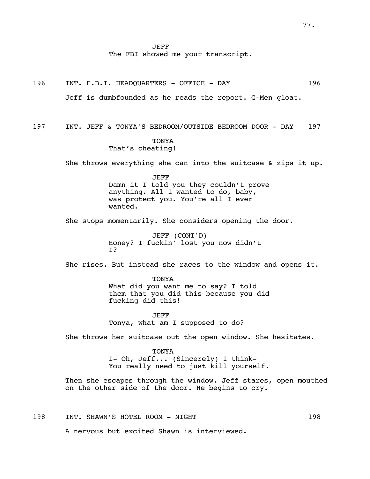JEFF

The FBI showed me your transcript.

196 INT. F.B.I. HEADQUARTERS - OFFICE - DAY 196

Jeff is dumbfounded as he reads the report. G-Men gloat.

197 INT. JEFF & TONYA'S BEDROOM/OUTSIDE BEDROOM DOOR - DAY 197

## **TONYA** That's cheating!

She throws everything she can into the suitcase & zips it up.

# JEFF Damn it I told you they couldn't prove anything. All I wanted to do, baby, was protect you. You're all I ever wanted.

She stops momentarily. She considers opening the door.

JEFF (CONT'D) Honey? I fuckin' lost you now didn't I?

She rises. But instead she races to the window and opens it.

TONYA What did you want me to say? I told them that you did this because you did fucking did this!

JEFF Tonya, what am I supposed to do?

She throws her suitcase out the open window. She hesitates.

**TONYA** I- Oh, Jeff... (Sincerely) I think-You really need to just kill yourself.

Then she escapes through the window. Jeff stares, open mouthed on the other side of the door. He begins to cry.

198 INT. SHAWN'S HOTEL ROOM - NIGHT 198

A nervous but excited Shawn is interviewed.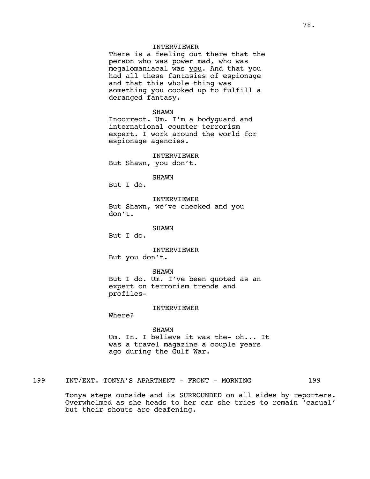## INTERVIEWER

There is a feeling out there that the person who was power mad, who was megalomaniacal was you. And that you had all these fantasies of espionage and that this whole thing was something you cooked up to fulfill a deranged fantasy.

#### SHAWN

Incorrect. Um. I'm a bodyguard and international counter terrorism expert. I work around the world for espionage agencies.

#### INTERVIEWER

But Shawn, you don't.

## SHAWN

But I do.

INTERVIEWER But Shawn, we've checked and you don't.

SHAWN

But I do.

INTERVIEWER But you don't.

SHAWN But I do. Um. I've been quoted as an expert on terrorism trends and profiles-

#### INTERVIEWER

Where?

## SHAWN

Um. In. I believe it was the- oh... It was a travel magazine a couple years ago during the Gulf War.

199 INT/EXT. TONYA'S APARTMENT - FRONT - MORNING 199

Tonya steps outside and is SURROUNDED on all sides by reporters. Overwhelmed as she heads to her car she tries to remain 'casual' but their shouts are deafening.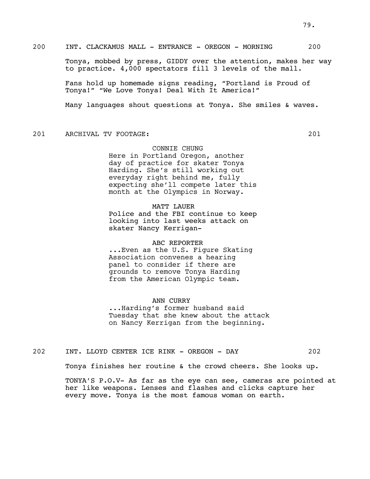Tonya, mobbed by press, GIDDY over the attention, makes her way to practice. 4,000 spectators fill 3 levels of the mall.

Fans hold up homemade signs reading, "Portland is Proud of Tonya!" "We Love Tonya! Deal With It America!"

Many languages shout questions at Tonya. She smiles & waves.

201 ARCHIVAL TV FOOTAGE: 201

## CONNIE CHUNG

Here in Portland Oregon, another day of practice for skater Tonya Harding. She's still working out everyday right behind me, fully expecting she'll compete later this month at the Olympics in Norway.

## MATT LAUER

Police and the FBI continue to keep looking into last weeks attack on skater Nancy Kerrigan-

#### ABC REPORTER

...Even as the U.S. Figure Skating Association convenes a hearing panel to consider if there are grounds to remove Tonya Harding from the American Olympic team.

#### ANN CURRY

...Harding's former husband said Tuesday that she knew about the attack on Nancy Kerrigan from the beginning.

202 INT. LLOYD CENTER ICE RINK - OREGON - DAY 202

Tonya finishes her routine & the crowd cheers. She looks up.

TONYA'S P.O.V- As far as the eye can see, cameras are pointed at her like weapons. Lenses and flashes and clicks capture her every move. Tonya is the most famous woman on earth.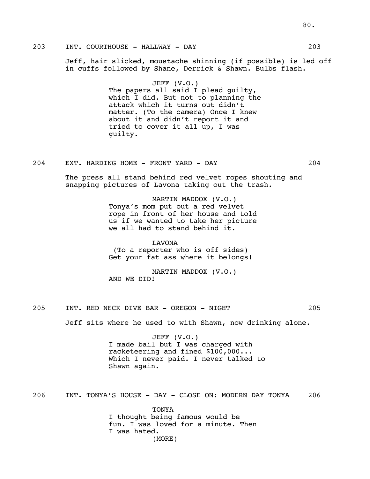Jeff, hair slicked, moustache shinning (if possible) is led off in cuffs followed by Shane, Derrick & Shawn. Bulbs flash.

> JEFF (V.O.) The papers all said I plead guilty, which I did. But not to planning the attack which it turns out didn't matter. (To the camera) Once I knew about it and didn't report it and tried to cover it all up, I was guilty.

## 204 EXT. HARDING HOME - FRONT YARD - DAY 204

The press all stand behind red velvet ropes shouting and snapping pictures of Lavona taking out the trash.

> MARTIN MADDOX (V.O.) Tonya's mom put out a red velvet rope in front of her house and told us if we wanted to take her picture we all had to stand behind it.

LAVONA (To a reporter who is off sides) Get your fat ass where it belongs!

MARTIN MADDOX (V.O.) AND WE DID!

205 INT. RED NECK DIVE BAR - OREGON - NIGHT 205

Jeff sits where he used to with Shawn, now drinking alone.

JEFF (V.O.) I made bail but I was charged with racketeering and fined \$100,000... Which I never paid. I never talked to Shawn again.

206 INT. TONYA'S HOUSE - DAY - CLOSE ON: MODERN DAY TONYA 206

TONYA I thought being famous would be fun. I was loved for a minute. Then I was hated. (MORE)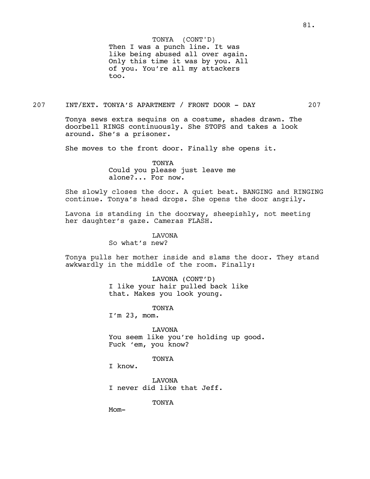Then I was a punch line. It was like being abused all over again. Only this time it was by you. All of you. You're all my attackers too. TONYA (CONT'D)

207 INT/EXT. TONYA'S APARTMENT / FRONT DOOR - DAY 207

Tonya sews extra sequins on a costume, shades drawn. The doorbell RINGS continuously. She STOPS and takes a look around. She's a prisoner.

She moves to the front door. Finally she opens it.

TONYA Could you please just leave me alone?... For now.

She slowly closes the door. A quiet beat. BANGING and RINGING continue. Tonya's head drops. She opens the door angrily.

Lavona is standing in the doorway, sheepishly, not meeting her daughter's gaze. Cameras FLASH.

LAVONA

So what's new?

Tonya pulls her mother inside and slams the door. They stand awkwardly in the middle of the room. Finally:

> LAVONA (CONT'D) I like your hair pulled back like that. Makes you look young.

> > TONYA

I'm 23, mom.

LAVONA You seem like you're holding up good. Fuck 'em, you know?

## TONYA

I know.

LAVONA I never did like that Jeff.

TONYA

Mom-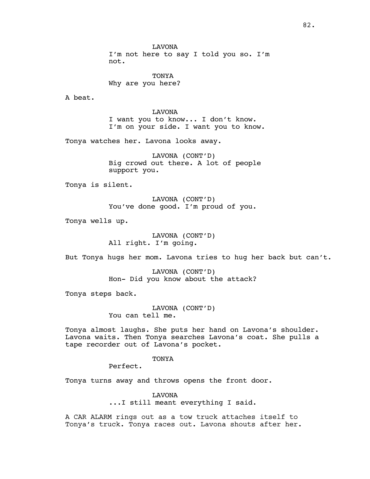LAVONA I'm not here to say I told you so. I'm not.

TONYA Why are you here?

A beat.

LAVONA I want you to know... I don't know. I'm on your side. I want you to know.

Tonya watches her. Lavona looks away.

LAVONA (CONT'D) Big crowd out there. A lot of people support you.

Tonya is silent.

LAVONA (CONT'D) You've done good. I'm proud of you.

Tonya wells up.

LAVONA (CONT'D) All right. I'm going.

But Tonya hugs her mom. Lavona tries to hug her back but can't.

LAVONA (CONT'D) Hon- Did you know about the attack?

Tonya steps back.

LAVONA (CONT'D) You can tell me.

Tonya almost laughs. She puts her hand on Lavona's shoulder. Lavona waits. Then Tonya searches Lavona's coat. She pulls a tape recorder out of Lavona's pocket.

TONYA

Perfect.

Tonya turns away and throws opens the front door.

LAVONA ...I still meant everything I said.

A CAR ALARM rings out as a tow truck attaches itself to Tonya's truck. Tonya races out. Lavona shouts after her.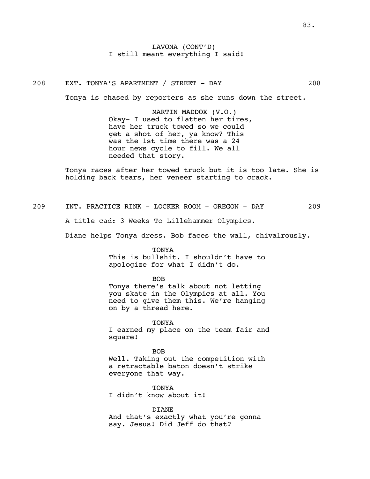LAVONA (CONT'D) I still meant everything I said!

## 208 EXT. TONYA'S APARTMENT / STREET - DAY 208

Tonya is chased by reporters as she runs down the street.

MARTIN MADDOX (V.O.) Okay- I used to flatten her tires, have her truck towed so we could get a shot of her, ya know? This was the 1st time there was a 24 hour news cycle to fill. We all needed that story.

Tonya races after her towed truck but it is too late. She is holding back tears, her veneer starting to crack.

209 INT. PRACTICE RINK - LOCKER ROOM - OREGON - DAY 209

A title cad: 3 Weeks To Lillehammer Olympics.

Diane helps Tonya dress. Bob faces the wall, chivalrously.

TONYA

This is bullshit. I shouldn't have to apologize for what I didn't do.

BOB

Tonya there's talk about not letting you skate in the Olympics at all. You need to give them this. We're hanging on by a thread here.

TONYA I earned my place on the team fair and square!

BOB Well. Taking out the competition with a retractable baton doesn't strike everyone that way.

TONYA I didn't know about it!

DIANE And that's exactly what you're gonna say. Jesus! Did Jeff do that?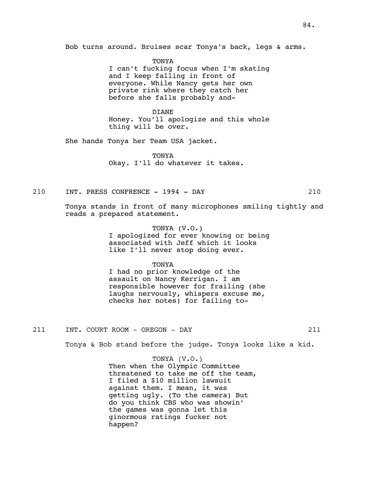Bob turns around. Bruises scar Tonya's back, legs & arms.

TONYA I can't fucking focus when I'm skating and I keep falling in front of everyone. While Nancy gets her own private rink where they catch her before she falls probably and-

DIANE Honey. You'll apologize and this whole thing will be over.

She hands Tonya her Team USA jacket.

**TONYA** Okay. I'll do whatever it takes.

#### 210 INT. PRESS CONFRENCE - 1994 - DAY 210

Tonya stands in front of many microphones smiling tightly and reads a prepared statement.

> TONYA (V.O.) I apologized for ever knowing or being associated with Jeff which it looks like I'll never stop doing ever.

> > TONYA

I had no prior knowledge of the assault on Nancy Kerrigan. I am responsible however for frailing (she laughs nervously, whispers excuse me, checks her notes) for failing to-

211 INT. COURT ROOM - OREGON - DAY 211

Tonya & Bob stand before the judge. Tonya looks like a kid.

TONYA (V.O.)

Then when the Olympic Committee threatened to take me off the team, I filed a \$10 million lawsuit against them. I mean, it was getting ugly. (To the camera) But do you think CBS who was showin' the games was gonna let this ginormous ratings fucker not happen?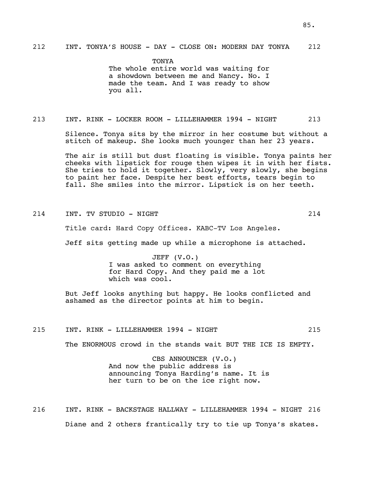**TONYA** The whole entire world was waiting for a showdown between me and Nancy. No. I made the team. And I was ready to show you all.

## 213 INT. RINK - LOCKER ROOM - LILLEHAMMER 1994 - NIGHT 213

Silence. Tonya sits by the mirror in her costume but without a stitch of makeup. She looks much younger than her 23 years.

The air is still but dust floating is visible. Tonya paints her cheeks with lipstick for rouge then wipes it in with her fists. She tries to hold it together. Slowly, very slowly, she begins to paint her face. Despite her best efforts, tears begin to fall. She smiles into the mirror. Lipstick is on her teeth.

214 INT. TV STUDIO - NIGHT 214 214

Title card: Hard Copy Offices. KABC-TV Los Angeles.

Jeff sits getting made up while a microphone is attached.

JEFF (V.O.) I was asked to comment on everything for Hard Copy. And they paid me a lot which was cool.

But Jeff looks anything but happy. He looks conflicted and ashamed as the director points at him to begin.

215 INT. RINK - LILLEHAMMER 1994 - NIGHT 215

The ENORMOUS crowd in the stands wait BUT THE ICE IS EMPTY.

CBS ANNOUNCER (V.O.) And now the public address is announcing Tonya Harding's name. It is her turn to be on the ice right now.

216 INT. RINK - BACKSTAGE HALLWAY - LILLEHAMMER 1994 - NIGHT 216 Diane and 2 others frantically try to tie up Tonya's skates.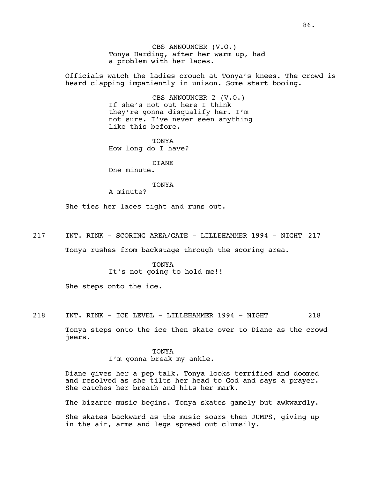CBS ANNOUNCER (V.O.) Tonya Harding, after her warm up, had a problem with her laces.

Officials watch the ladies crouch at Tonya's knees. The crowd is heard clapping impatiently in unison. Some start booing.

> CBS ANNOUNCER 2 (V.O.) If she's not out here I think they're gonna disqualify her. I'm not sure. I've never seen anything like this before.

TONYA How long do I have?

# DIANE

One minute.

## TONYA

A minute?

She ties her laces tight and runs out.

217 INT. RINK - SCORING AREA/GATE - LILLEHAMMER 1994 - NIGHT 217

Tonya rushes from backstage through the scoring area.

TONYA It's not going to hold me!!

She steps onto the ice.

218 INT. RINK - ICE LEVEL - LILLEHAMMER 1994 - NIGHT 218

Tonya steps onto the ice then skate over to Diane as the crowd jeers.

> TONYA I'm gonna break my ankle.

Diane gives her a pep talk. Tonya looks terrified and doomed and resolved as she tilts her head to God and says a prayer. She catches her breath and hits her mark.

The bizarre music begins. Tonya skates gamely but awkwardly.

She skates backward as the music soars then JUMPS, giving up in the air, arms and legs spread out clumsily.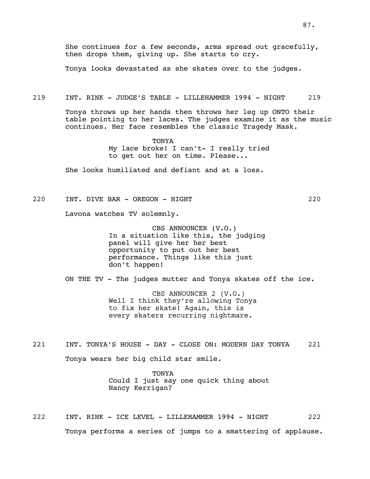She continues for a few seconds, arms spread out gracefully, then drops them, giving up. She starts to cry.

Tonya looks devastated as she skates over to the judges.

#### 219 INT. RINK - JUDGE'S TABLE - LILLEHAMMER 1994 - NIGHT 219

Tonya throws up her hands then throws her leg up ONTO their table pointing to her laces. The judges examine it as the music continues. Her face resembles the classic Tragedy Mask.

> **TONYA** My lace broke! I can't- I really tried to get out her on time. Please...

She looks humiliated and defiant and at a loss.

## 220 INT. DIVE BAR - OREGON - NIGHT 220

Lavona watches TV solemnly.

CBS ANNOUNCER (V.O.) In a situation like this, the judging panel will give her her best opportunity to put out her best performance. Things like this just don't happen!

ON THE TV - The judges mutter and Tonya skates off the ice.

CBS ANNOUNCER 2 (V.O.) Well I think they're allowing Tonya to fix her skate! Again, this is every skaters recurring nightmare.

221 INT. TONYA'S HOUSE - DAY - CLOSE ON: MODERN DAY TONYA 221 Tonya wears her big child star smile.

> TONYA Could I just say one quick thing about Nancy Kerrigan?

222 INT. RINK - ICE LEVEL - LILLEHAMMER 1994 - NIGHT 222 Tonya performs a series of jumps to a smattering of applause.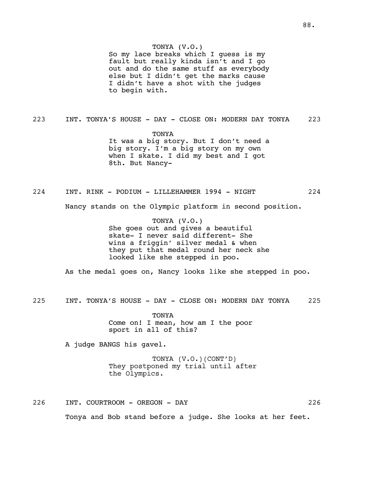So my lace breaks which I guess is my fault but really kinda isn't and I go out and do the same stuff as everybody else but I didn't get the marks cause I didn't have a shot with the judges to begin with.

223 INT. TONYA'S HOUSE - DAY - CLOSE ON: MODERN DAY TONYA 223

TONYA It was a big story. But I don't need a big story. I'm a big story on my own when I skate. I did my best and I got 8th. But Nancy-

224 INT. RINK - PODIUM - LILLEHAMMER 1994 - NIGHT 224

Nancy stands on the Olympic platform in second position.

TONYA (V.O.) She goes out and gives a beautiful skate- I never said different- She wins a friggin' silver medal & when they put that medal round her neck she looked like she stepped in poo.

As the medal goes on, Nancy looks like she stepped in poo.

225 INT. TONYA'S HOUSE - DAY - CLOSE ON: MODERN DAY TONYA 225

TONYA Come on! I mean, how am I the poor sport in all of this?

A judge BANGS his gavel.

TONYA (V.O.)(CONT'D) They postponed my trial until after the Olympics.

226 INT. COURTROOM - OREGON - DAY 226 Tonya and Bob stand before a judge. She looks at her feet.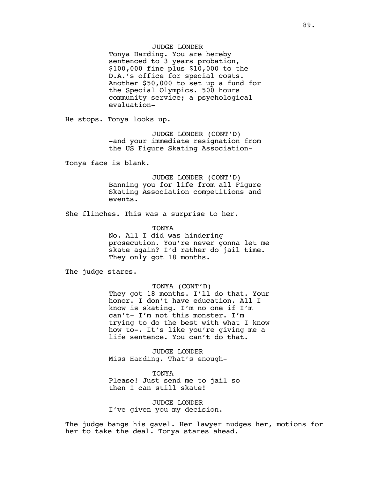## JUDGE LONDER

Tonya Harding. You are hereby sentenced to 3 years probation, \$100,000 fine plus \$10,000 to the D.A.'s office for special costs. Another \$50,000 to set up a fund for the Special Olympics. 500 hours community service; a psychological evaluation-

He stops. Tonya looks up.

JUDGE LONDER (CONT'D) -and your immediate resignation from the US Figure Skating Association-

Tonya face is blank.

JUDGE LONDER (CONT'D) Banning you for life from all Figure Skating Association competitions and events.

She flinches. This was a surprise to her.

TONYA

No. All I did was hindering prosecution. You're never gonna let me skate again? I'd rather do jail time. They only got 18 months.

The judge stares.

#### TONYA (CONT'D)

They got 18 months. I'll do that. Your honor. I don't have education. All I know is skating. I'm no one if I'm can't- I'm not this monster. I'm trying to do the best with what I know how to-. It's like you're giving me a life sentence. You can't do that.

JUDGE LONDER Miss Harding. That's enough-

TONYA Please! Just send me to jail so then I can still skate!

JUDGE LONDER I've given you my decision.

The judge bangs his gavel. Her lawyer nudges her, motions for her to take the deal. Tonya stares ahead.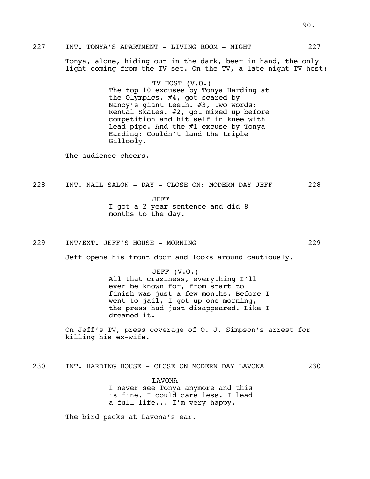| 227 |                                                                                                                                | INT. TONYA'S APARTMENT - LIVING ROOM - NIGHT                                                                                                                                                                                                                                                     |                |  | 227 |
|-----|--------------------------------------------------------------------------------------------------------------------------------|--------------------------------------------------------------------------------------------------------------------------------------------------------------------------------------------------------------------------------------------------------------------------------------------------|----------------|--|-----|
|     | Tonya, alone, hiding out in the dark, beer in hand, the only<br>light coming from the TV set. On the TV, a late night TV host: |                                                                                                                                                                                                                                                                                                  |                |  |     |
|     |                                                                                                                                | The top 10 excuses by Tonya Harding at<br>the Olympics. #4, got scared by<br>Nancy's giant teeth. #3, two words:<br>Rental Skates. #2, got mixed up before<br>competition and hit self in knee with<br>lead pipe. And the $#1$ excuse by Tonya<br>Harding: Couldn't land the triple<br>Gillooly. | TV HOST (V.O.) |  |     |
|     | The audience cheers.                                                                                                           |                                                                                                                                                                                                                                                                                                  |                |  |     |
| 228 |                                                                                                                                | INT. NAIL SALON - DAY - CLOSE ON: MODERN DAY JEFF<br>JEFF<br>I got a 2 year sentence and did 8<br>months to the day.                                                                                                                                                                             |                |  | 228 |
| 229 |                                                                                                                                | INT/EXT. JEFF'S HOUSE - MORNING<br>Jeff opens his front door and looks around cautiously.                                                                                                                                                                                                        |                |  | 229 |
|     |                                                                                                                                | JEFF $(V.O.)$<br>All that craziness, everything I'll<br>ever be known for, from start to<br>finish was just a few months. Before I<br>went to jail, I got up one morning,<br>the press had just disappeared. Like I<br>dreamed it.                                                               |                |  |     |

On Jeff's TV, press coverage of O. J. Simpson's arrest for killing his ex-wife.

230 INT. HARDING HOUSE - CLOSE ON MODERN DAY LAVONA 230

LAVONA I never see Tonya anymore and this is fine. I could care less. I lead a full life... I'm very happy.

The bird pecks at Lavona's ear.

90.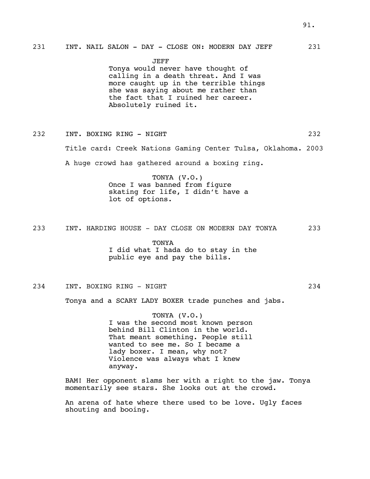JEFF

Tonya would never have thought of calling in a death threat. And I was more caught up in the terrible things she was saying about me rather than the fact that I ruined her career. Absolutely ruined it.

232 INT. BOXING RING - NIGHT 232

Title card: Creek Nations Gaming Center Tulsa, Oklahoma. 2003

A huge crowd has gathered around a boxing ring.

TONYA (V.O.) Once I was banned from figure skating for life, I didn't have a lot of options.

233 INT. HARDING HOUSE - DAY CLOSE ON MODERN DAY TONYA 233

TONYA I did what I hada do to stay in the public eye and pay the bills.

## 234 INT. BOXING RING - NIGHT 234

Tonya and a SCARY LADY BOXER trade punches and jabs.

TONYA (V.O.) I was the second most known person behind Bill Clinton in the world. That meant something. People still wanted to see me. So I became a lady boxer. I mean, why not? Violence was always what I knew anyway.

BAM! Her opponent slams her with a right to the jaw. Tonya momentarily see stars. She looks out at the crowd.

An arena of hate where there used to be love. Ugly faces shouting and booing.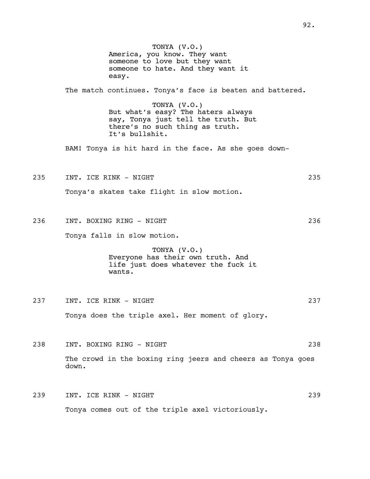TONYA (V.O.) America, you know. They want someone to love but they want someone to hate. And they want it easy. The match continues. Tonya's face is beaten and battered. TONYA (V.O.) But what's easy? The haters always say, Tonya just tell the truth. But there's no such thing as truth. It's bullshit. BAM! Tonya is hit hard in the face. As she goes down-235 INT. ICE RINK - NIGHT 235 Tonya's skates take flight in slow motion. 236 INT. BOXING RING - NIGHT 236 Tonya falls in slow motion. TONYA (V.O.) Everyone has their own truth. And life just does whatever the fuck it wants. 237 INT. ICE RINK - NIGHT 237 Tonya does the triple axel. Her moment of glory. 238 INT. BOXING RING - NIGHT 238 The crowd in the boxing ring jeers and cheers as Tonya goes down. 239 INT. ICE RINK - NIGHT 239 Tonya comes out of the triple axel victoriously.